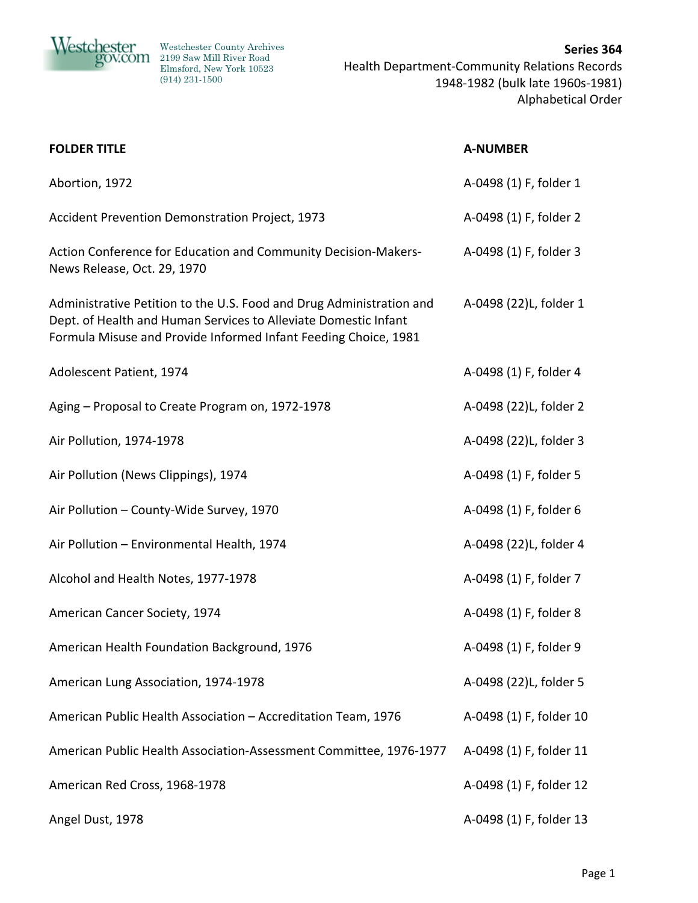

| <b>FOLDER TITLE</b>                                                                                                                                                                                        | <b>A-NUMBER</b>         |
|------------------------------------------------------------------------------------------------------------------------------------------------------------------------------------------------------------|-------------------------|
| Abortion, 1972                                                                                                                                                                                             | A-0498 (1) F, folder 1  |
| Accident Prevention Demonstration Project, 1973                                                                                                                                                            | A-0498 (1) F, folder 2  |
| Action Conference for Education and Community Decision-Makers-<br>News Release, Oct. 29, 1970                                                                                                              | A-0498 (1) F, folder 3  |
| Administrative Petition to the U.S. Food and Drug Administration and<br>Dept. of Health and Human Services to Alleviate Domestic Infant<br>Formula Misuse and Provide Informed Infant Feeding Choice, 1981 | A-0498 (22)L, folder 1  |
| Adolescent Patient, 1974                                                                                                                                                                                   | A-0498 (1) F, folder 4  |
| Aging - Proposal to Create Program on, 1972-1978                                                                                                                                                           | A-0498 (22)L, folder 2  |
| Air Pollution, 1974-1978                                                                                                                                                                                   | A-0498 (22)L, folder 3  |
| Air Pollution (News Clippings), 1974                                                                                                                                                                       | A-0498 (1) F, folder 5  |
| Air Pollution - County-Wide Survey, 1970                                                                                                                                                                   | A-0498 (1) F, folder 6  |
| Air Pollution - Environmental Health, 1974                                                                                                                                                                 | A-0498 (22)L, folder 4  |
| Alcohol and Health Notes, 1977-1978                                                                                                                                                                        | A-0498 (1) F, folder 7  |
| American Cancer Society, 1974                                                                                                                                                                              | A-0498 (1) F, folder 8  |
| American Health Foundation Background, 1976                                                                                                                                                                | A-0498 (1) F, folder 9  |
| American Lung Association, 1974-1978                                                                                                                                                                       | A-0498 (22)L, folder 5  |
| American Public Health Association - Accreditation Team, 1976                                                                                                                                              | A-0498 (1) F, folder 10 |
| American Public Health Association-Assessment Committee, 1976-1977                                                                                                                                         | A-0498 (1) F, folder 11 |
| American Red Cross, 1968-1978                                                                                                                                                                              | A-0498 (1) F, folder 12 |
| Angel Dust, 1978                                                                                                                                                                                           | A-0498 (1) F, folder 13 |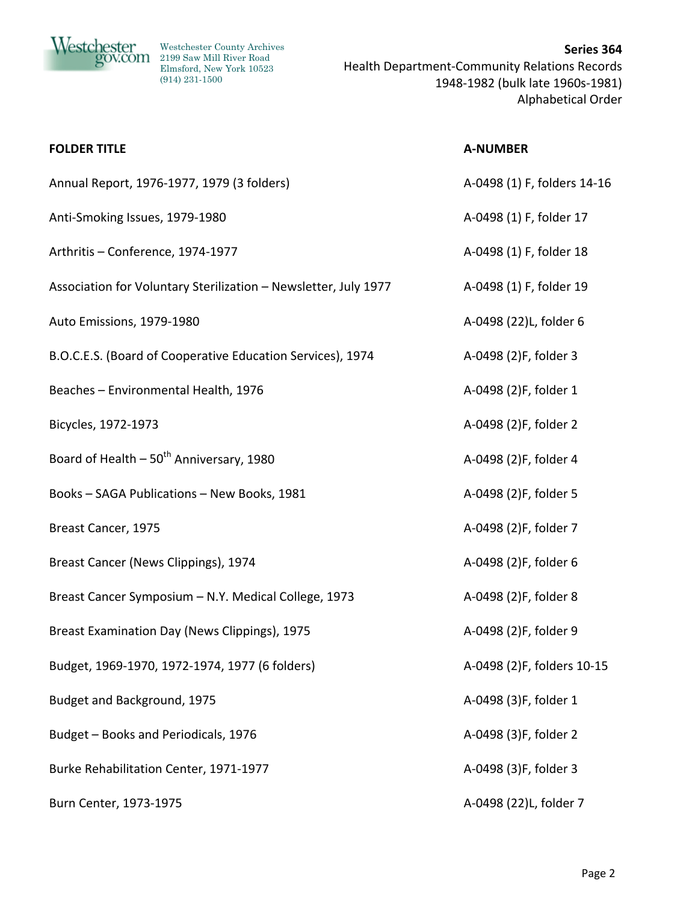

| <b>FOLDER TITLE</b>                                             | <b>A-NUMBER</b>             |
|-----------------------------------------------------------------|-----------------------------|
| Annual Report, 1976-1977, 1979 (3 folders)                      | A-0498 (1) F, folders 14-16 |
| Anti-Smoking Issues, 1979-1980                                  | A-0498 (1) F, folder 17     |
| Arthritis - Conference, 1974-1977                               | A-0498 (1) F, folder 18     |
| Association for Voluntary Sterilization - Newsletter, July 1977 | A-0498 (1) F, folder 19     |
| Auto Emissions, 1979-1980                                       | A-0498 (22)L, folder 6      |
| B.O.C.E.S. (Board of Cooperative Education Services), 1974      | A-0498 (2)F, folder 3       |
| Beaches - Environmental Health, 1976                            | A-0498 (2)F, folder 1       |
| Bicycles, 1972-1973                                             | A-0498 (2)F, folder 2       |
| Board of Health - 50 <sup>th</sup> Anniversary, 1980            | A-0498 (2)F, folder 4       |
| Books - SAGA Publications - New Books, 1981                     | A-0498 (2)F, folder 5       |
| Breast Cancer, 1975                                             | A-0498 (2)F, folder 7       |
| Breast Cancer (News Clippings), 1974                            | A-0498 (2)F, folder 6       |
| Breast Cancer Symposium - N.Y. Medical College, 1973            | A-0498 (2)F, folder 8       |
| Breast Examination Day (News Clippings), 1975                   | A-0498 (2)F, folder 9       |
| Budget, 1969-1970, 1972-1974, 1977 (6 folders)                  | A-0498 (2)F, folders 10-15  |
| Budget and Background, 1975                                     | A-0498 (3)F, folder 1       |
| Budget - Books and Periodicals, 1976                            | A-0498 (3)F, folder 2       |
| Burke Rehabilitation Center, 1971-1977                          | A-0498 (3)F, folder 3       |
| Burn Center, 1973-1975                                          | A-0498 (22)L, folder 7      |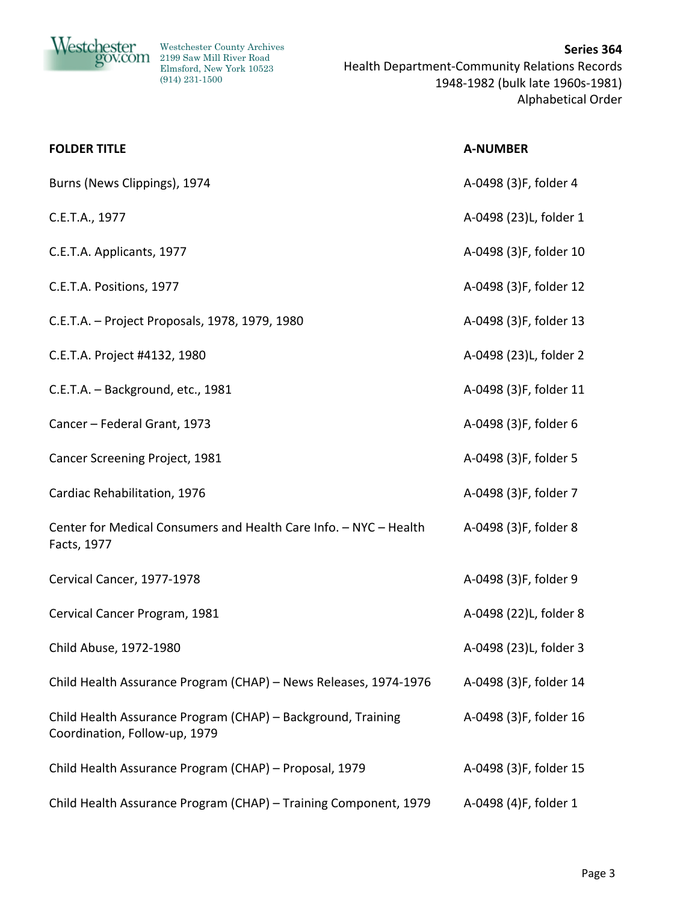

| <b>FOLDER TITLE</b>                                                                           | <b>A-NUMBER</b>        |
|-----------------------------------------------------------------------------------------------|------------------------|
| Burns (News Clippings), 1974                                                                  | A-0498 (3)F, folder 4  |
| C.E.T.A., 1977                                                                                | A-0498 (23)L, folder 1 |
| C.E.T.A. Applicants, 1977                                                                     | A-0498 (3)F, folder 10 |
| C.E.T.A. Positions, 1977                                                                      | A-0498 (3)F, folder 12 |
| C.E.T.A. - Project Proposals, 1978, 1979, 1980                                                | A-0498 (3)F, folder 13 |
| C.E.T.A. Project #4132, 1980                                                                  | A-0498 (23)L, folder 2 |
| C.E.T.A. - Background, etc., 1981                                                             | A-0498 (3)F, folder 11 |
| Cancer - Federal Grant, 1973                                                                  | A-0498 (3)F, folder 6  |
| Cancer Screening Project, 1981                                                                | A-0498 (3)F, folder 5  |
| Cardiac Rehabilitation, 1976                                                                  | A-0498 (3)F, folder 7  |
| Center for Medical Consumers and Health Care Info. - NYC - Health<br>Facts, 1977              | A-0498 (3)F, folder 8  |
| Cervical Cancer, 1977-1978                                                                    | A-0498 (3)F, folder 9  |
| Cervical Cancer Program, 1981                                                                 | A-0498 (22)L, folder 8 |
| Child Abuse, 1972-1980                                                                        | A-0498 (23)L, folder 3 |
| Child Health Assurance Program (CHAP) - News Releases, 1974-1976                              | A-0498 (3)F, folder 14 |
| Child Health Assurance Program (CHAP) - Background, Training<br>Coordination, Follow-up, 1979 | A-0498 (3)F, folder 16 |
| Child Health Assurance Program (CHAP) - Proposal, 1979                                        | A-0498 (3)F, folder 15 |
| Child Health Assurance Program (CHAP) - Training Component, 1979                              | A-0498 (4)F, folder 1  |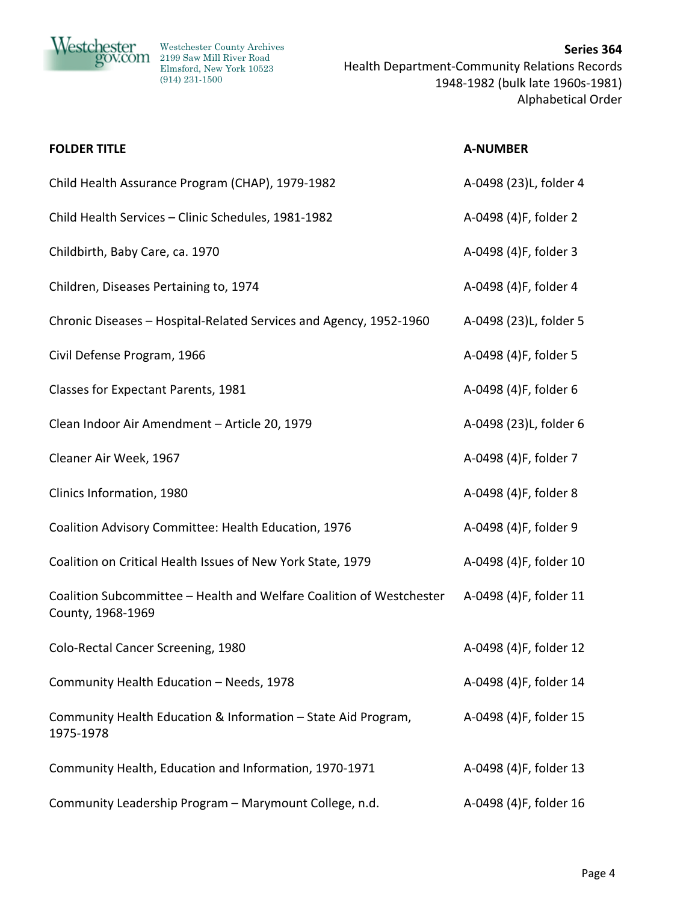

| <b>FOLDER TITLE</b>                                                                       | <b>A-NUMBER</b>        |
|-------------------------------------------------------------------------------------------|------------------------|
| Child Health Assurance Program (CHAP), 1979-1982                                          | A-0498 (23)L, folder 4 |
| Child Health Services - Clinic Schedules, 1981-1982                                       | A-0498 (4)F, folder 2  |
| Childbirth, Baby Care, ca. 1970                                                           | A-0498 (4)F, folder 3  |
| Children, Diseases Pertaining to, 1974                                                    | A-0498 (4)F, folder 4  |
| Chronic Diseases - Hospital-Related Services and Agency, 1952-1960                        | A-0498 (23)L, folder 5 |
| Civil Defense Program, 1966                                                               | A-0498 (4)F, folder 5  |
| Classes for Expectant Parents, 1981                                                       | A-0498 (4)F, folder 6  |
| Clean Indoor Air Amendment - Article 20, 1979                                             | A-0498 (23)L, folder 6 |
| Cleaner Air Week, 1967                                                                    | A-0498 (4)F, folder 7  |
| Clinics Information, 1980                                                                 | A-0498 (4)F, folder 8  |
| Coalition Advisory Committee: Health Education, 1976                                      | A-0498 (4)F, folder 9  |
| Coalition on Critical Health Issues of New York State, 1979                               | A-0498 (4)F, folder 10 |
| Coalition Subcommittee - Health and Welfare Coalition of Westchester<br>County, 1968-1969 | A-0498 (4)F, folder 11 |
| Colo-Rectal Cancer Screening, 1980                                                        | A-0498 (4)F, folder 12 |
| Community Health Education - Needs, 1978                                                  | A-0498 (4)F, folder 14 |
| Community Health Education & Information - State Aid Program,<br>1975-1978                | A-0498 (4)F, folder 15 |
| Community Health, Education and Information, 1970-1971                                    | A-0498 (4)F, folder 13 |
| Community Leadership Program - Marymount College, n.d.                                    | A-0498 (4)F, folder 16 |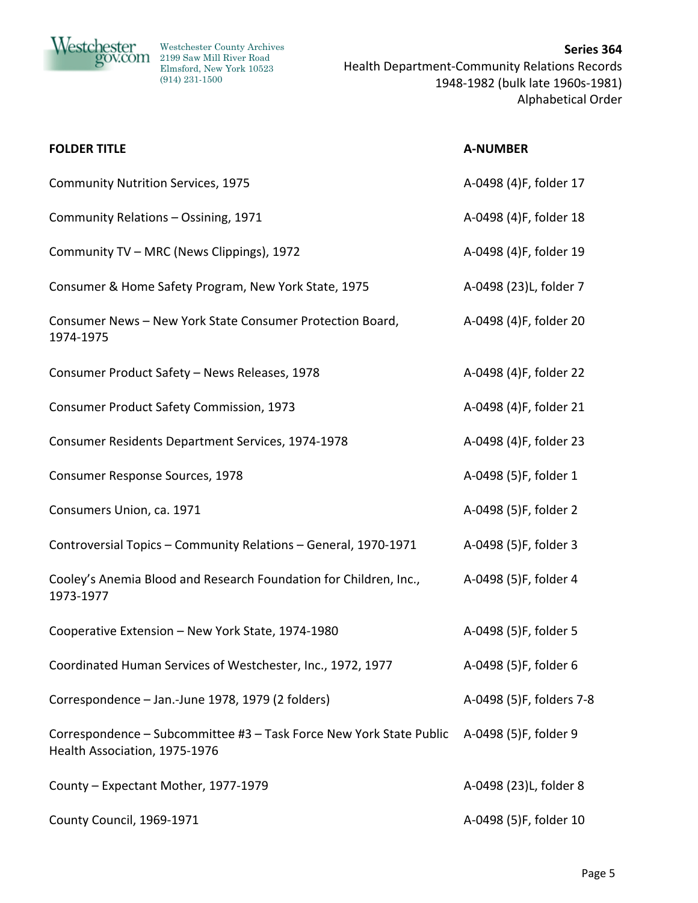

20V.COM 2199 Saw Mill River Road Elmsford, New York 10523 (914) 231-1500

| <b>FOLDER TITLE</b>                                                                                  | <b>A-NUMBER</b>          |
|------------------------------------------------------------------------------------------------------|--------------------------|
| <b>Community Nutrition Services, 1975</b>                                                            | A-0498 (4)F, folder 17   |
| Community Relations - Ossining, 1971                                                                 | A-0498 (4)F, folder 18   |
| Community TV - MRC (News Clippings), 1972                                                            | A-0498 (4)F, folder 19   |
| Consumer & Home Safety Program, New York State, 1975                                                 | A-0498 (23)L, folder 7   |
| Consumer News - New York State Consumer Protection Board,<br>1974-1975                               | A-0498 (4)F, folder 20   |
| Consumer Product Safety - News Releases, 1978                                                        | A-0498 (4)F, folder 22   |
| <b>Consumer Product Safety Commission, 1973</b>                                                      | A-0498 (4)F, folder 21   |
| Consumer Residents Department Services, 1974-1978                                                    | A-0498 (4)F, folder 23   |
| Consumer Response Sources, 1978                                                                      | A-0498 (5)F, folder 1    |
| Consumers Union, ca. 1971                                                                            | A-0498 (5)F, folder 2    |
| Controversial Topics - Community Relations - General, 1970-1971                                      | A-0498 (5)F, folder 3    |
| Cooley's Anemia Blood and Research Foundation for Children, Inc.,<br>1973-1977                       | A-0498 (5)F, folder 4    |
| Cooperative Extension - New York State, 1974-1980                                                    | A-0498 (5)F, folder 5    |
| Coordinated Human Services of Westchester, Inc., 1972, 1977                                          | A-0498 (5)F, folder 6    |
| Correspondence - Jan.-June 1978, 1979 (2 folders)                                                    | A-0498 (5)F, folders 7-8 |
| Correspondence - Subcommittee #3 - Task Force New York State Public<br>Health Association, 1975-1976 | A-0498 (5)F, folder 9    |
| County - Expectant Mother, 1977-1979                                                                 | A-0498 (23)L, folder 8   |
| County Council, 1969-1971                                                                            | A-0498 (5)F, folder 10   |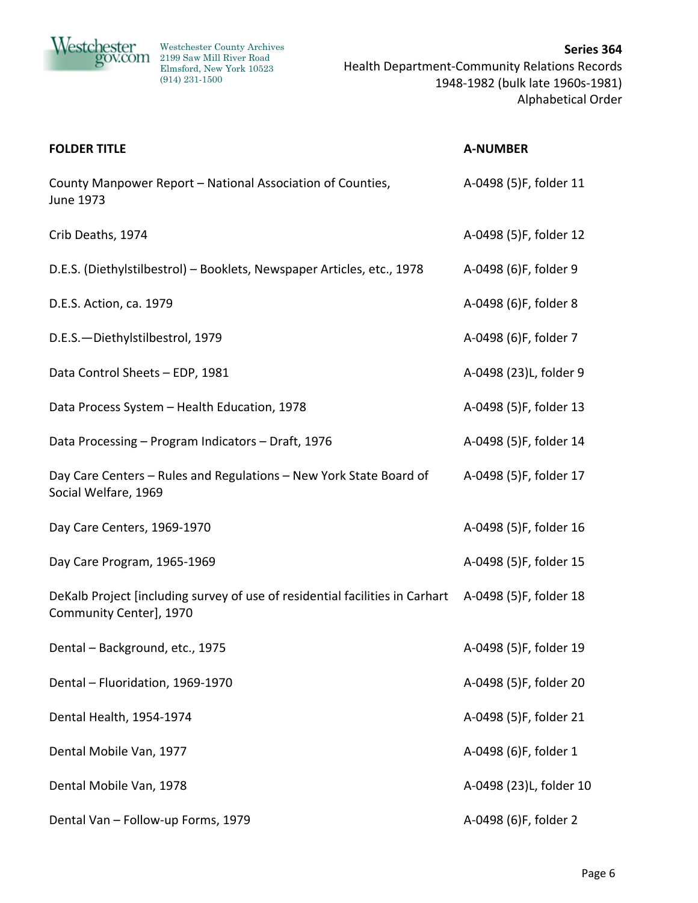

| <b>FOLDER TITLE</b>                                                                                     | <b>A-NUMBER</b>         |
|---------------------------------------------------------------------------------------------------------|-------------------------|
| County Manpower Report - National Association of Counties,<br>June 1973                                 | A-0498 (5)F, folder 11  |
| Crib Deaths, 1974                                                                                       | A-0498 (5)F, folder 12  |
| D.E.S. (Diethylstilbestrol) - Booklets, Newspaper Articles, etc., 1978                                  | A-0498 (6)F, folder 9   |
| D.E.S. Action, ca. 1979                                                                                 | A-0498 (6)F, folder 8   |
| D.E.S.-Diethylstilbestrol, 1979                                                                         | A-0498 (6)F, folder 7   |
| Data Control Sheets - EDP, 1981                                                                         | A-0498 (23)L, folder 9  |
| Data Process System - Health Education, 1978                                                            | A-0498 (5)F, folder 13  |
| Data Processing - Program Indicators - Draft, 1976                                                      | A-0498 (5)F, folder 14  |
| Day Care Centers - Rules and Regulations - New York State Board of<br>Social Welfare, 1969              | A-0498 (5)F, folder 17  |
| Day Care Centers, 1969-1970                                                                             | A-0498 (5)F, folder 16  |
| Day Care Program, 1965-1969                                                                             | A-0498 (5)F, folder 15  |
| DeKalb Project [including survey of use of residential facilities in Carhart<br>Community Center], 1970 | A-0498 (5)F, folder 18  |
| Dental - Background, etc., 1975                                                                         | A-0498 (5)F, folder 19  |
| Dental - Fluoridation, 1969-1970                                                                        | A-0498 (5)F, folder 20  |
| Dental Health, 1954-1974                                                                                | A-0498 (5)F, folder 21  |
| Dental Mobile Van, 1977                                                                                 | A-0498 (6)F, folder 1   |
| Dental Mobile Van, 1978                                                                                 | A-0498 (23)L, folder 10 |
| Dental Van - Follow-up Forms, 1979                                                                      | A-0498 (6)F, folder 2   |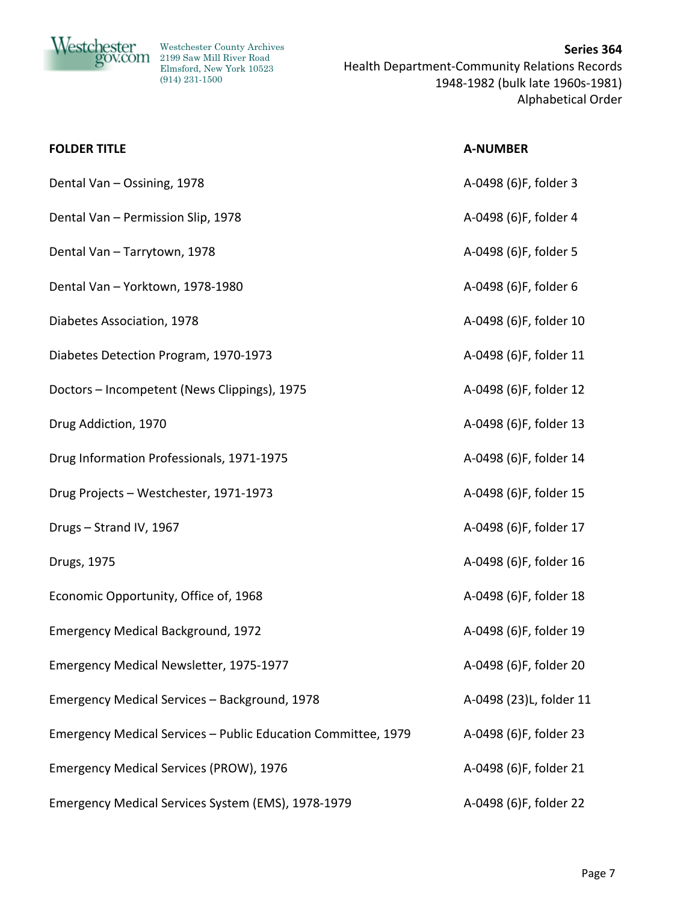

| <b>FOLDER TITLE</b>                                           | <b>A-NUMBER</b>         |
|---------------------------------------------------------------|-------------------------|
| Dental Van - Ossining, 1978                                   | A-0498 (6)F, folder 3   |
| Dental Van - Permission Slip, 1978                            | A-0498 (6)F, folder 4   |
| Dental Van - Tarrytown, 1978                                  | A-0498 (6)F, folder 5   |
| Dental Van - Yorktown, 1978-1980                              | A-0498 (6)F, folder 6   |
| Diabetes Association, 1978                                    | A-0498 (6)F, folder 10  |
| Diabetes Detection Program, 1970-1973                         | A-0498 (6)F, folder 11  |
| Doctors - Incompetent (News Clippings), 1975                  | A-0498 (6)F, folder 12  |
| Drug Addiction, 1970                                          | A-0498 (6)F, folder 13  |
| Drug Information Professionals, 1971-1975                     | A-0498 (6)F, folder 14  |
| Drug Projects - Westchester, 1971-1973                        | A-0498 (6)F, folder 15  |
| Drugs - Strand IV, 1967                                       | A-0498 (6)F, folder 17  |
| Drugs, 1975                                                   | A-0498 (6)F, folder 16  |
| Economic Opportunity, Office of, 1968                         | A-0498 (6)F, folder 18  |
| <b>Emergency Medical Background, 1972</b>                     | A-0498 (6)F, folder 19  |
| Emergency Medical Newsletter, 1975-1977                       | A-0498 (6)F, folder 20  |
| Emergency Medical Services - Background, 1978                 | A-0498 (23)L, folder 11 |
| Emergency Medical Services - Public Education Committee, 1979 | A-0498 (6)F, folder 23  |
| Emergency Medical Services (PROW), 1976                       | A-0498 (6)F, folder 21  |
| Emergency Medical Services System (EMS), 1978-1979            | A-0498 (6)F, folder 22  |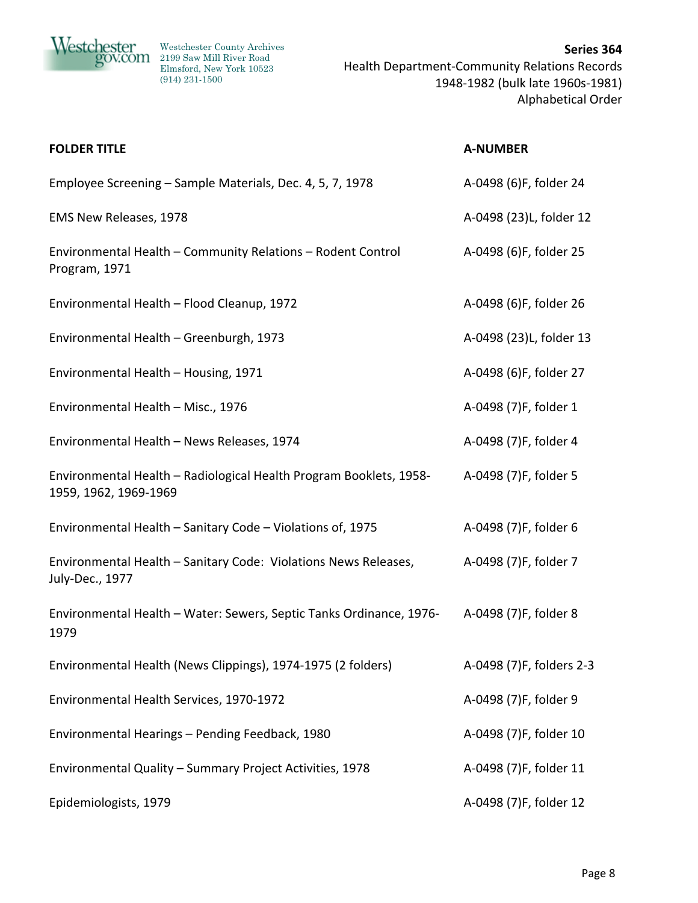

| <b>FOLDER TITLE</b>                                                                         | <b>A-NUMBER</b>          |
|---------------------------------------------------------------------------------------------|--------------------------|
| Employee Screening - Sample Materials, Dec. 4, 5, 7, 1978                                   | A-0498 (6)F, folder 24   |
| EMS New Releases, 1978                                                                      | A-0498 (23)L, folder 12  |
| Environmental Health - Community Relations - Rodent Control<br>Program, 1971                | A-0498 (6)F, folder 25   |
| Environmental Health - Flood Cleanup, 1972                                                  | A-0498 (6)F, folder 26   |
| Environmental Health - Greenburgh, 1973                                                     | A-0498 (23)L, folder 13  |
| Environmental Health - Housing, 1971                                                        | A-0498 (6)F, folder 27   |
| Environmental Health - Misc., 1976                                                          | A-0498 (7)F, folder 1    |
| Environmental Health - News Releases, 1974                                                  | A-0498 (7)F, folder 4    |
| Environmental Health - Radiological Health Program Booklets, 1958-<br>1959, 1962, 1969-1969 | A-0498 (7)F, folder 5    |
| Environmental Health - Sanitary Code - Violations of, 1975                                  | A-0498 (7)F, folder 6    |
| Environmental Health - Sanitary Code: Violations News Releases,<br>July-Dec., 1977          | A-0498 (7)F, folder 7    |
| Environmental Health - Water: Sewers, Septic Tanks Ordinance, 1976-<br>1979                 | A-0498 (7)F, folder 8    |
| Environmental Health (News Clippings), 1974-1975 (2 folders)                                | A-0498 (7)F, folders 2-3 |
| Environmental Health Services, 1970-1972                                                    | A-0498 (7)F, folder 9    |
| Environmental Hearings - Pending Feedback, 1980                                             | A-0498 (7)F, folder 10   |
| Environmental Quality - Summary Project Activities, 1978                                    | A-0498 (7)F, folder 11   |
| Epidemiologists, 1979                                                                       | A-0498 (7)F, folder 12   |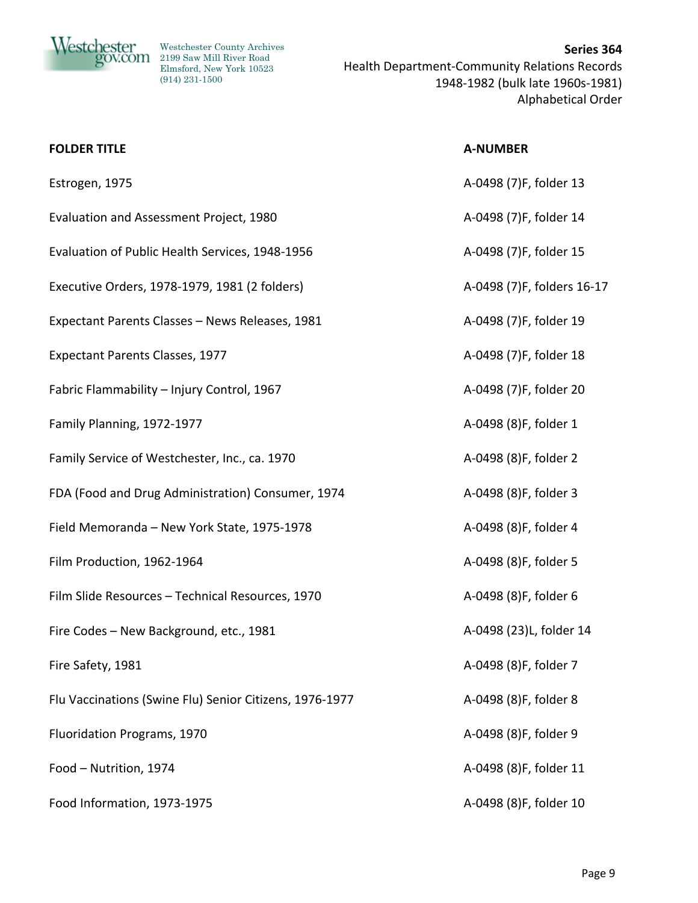

| <b>FOLDER TITLE</b>                                     | <b>A-NUMBER</b>            |
|---------------------------------------------------------|----------------------------|
| Estrogen, 1975                                          | A-0498 (7)F, folder 13     |
| Evaluation and Assessment Project, 1980                 | A-0498 (7)F, folder 14     |
| Evaluation of Public Health Services, 1948-1956         | A-0498 (7)F, folder 15     |
| Executive Orders, 1978-1979, 1981 (2 folders)           | A-0498 (7)F, folders 16-17 |
| Expectant Parents Classes - News Releases, 1981         | A-0498 (7)F, folder 19     |
| <b>Expectant Parents Classes, 1977</b>                  | A-0498 (7)F, folder 18     |
| Fabric Flammability - Injury Control, 1967              | A-0498 (7)F, folder 20     |
| Family Planning, 1972-1977                              | A-0498 (8)F, folder 1      |
| Family Service of Westchester, Inc., ca. 1970           | A-0498 (8)F, folder 2      |
| FDA (Food and Drug Administration) Consumer, 1974       | A-0498 (8)F, folder 3      |
| Field Memoranda - New York State, 1975-1978             | A-0498 (8)F, folder 4      |
| Film Production, 1962-1964                              | A-0498 (8)F, folder 5      |
| Film Slide Resources - Technical Resources, 1970        | A-0498 (8)F, folder 6      |
| Fire Codes - New Background, etc., 1981                 | A-0498 (23)L, folder 14    |
| Fire Safety, 1981                                       | A-0498 (8)F, folder 7      |
| Flu Vaccinations (Swine Flu) Senior Citizens, 1976-1977 | A-0498 (8)F, folder 8      |
| Fluoridation Programs, 1970                             | A-0498 (8)F, folder 9      |
| Food - Nutrition, 1974                                  | A-0498 (8)F, folder 11     |
| Food Information, 1973-1975                             | A-0498 (8)F, folder 10     |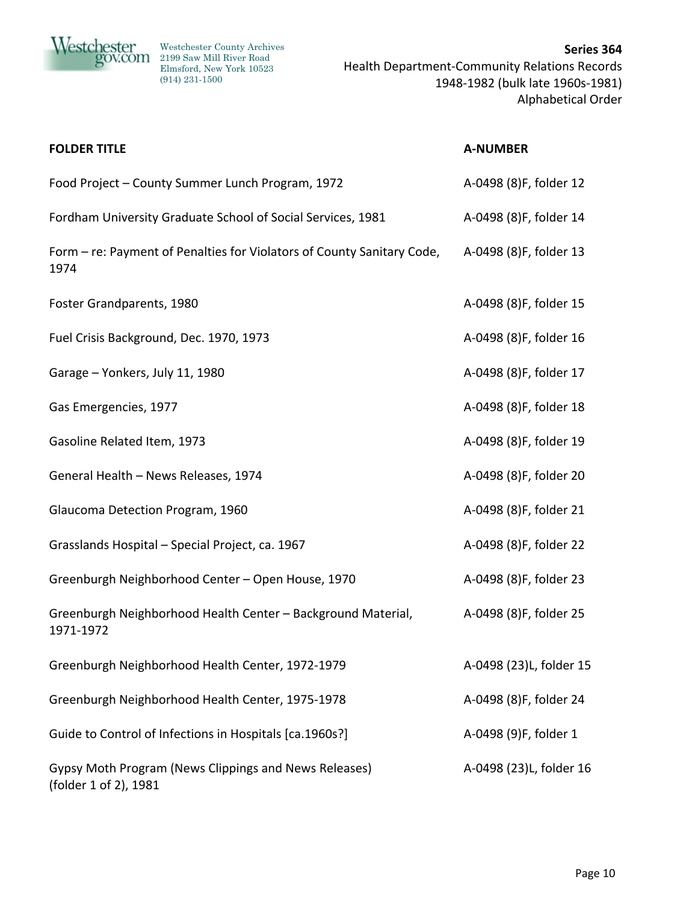

20V.COM 2199 Saw Mill River Road Elmsford, New York 10523 (914) 231-1500

| <b>FOLDER TITLE</b>                                                            | <b>A-NUMBER</b>         |
|--------------------------------------------------------------------------------|-------------------------|
| Food Project - County Summer Lunch Program, 1972                               | A-0498 (8)F, folder 12  |
| Fordham University Graduate School of Social Services, 1981                    | A-0498 (8)F, folder 14  |
| Form – re: Payment of Penalties for Violators of County Sanitary Code,<br>1974 | A-0498 (8)F, folder 13  |
| Foster Grandparents, 1980                                                      | A-0498 (8)F, folder 15  |
| Fuel Crisis Background, Dec. 1970, 1973                                        | A-0498 (8)F, folder 16  |
| Garage - Yonkers, July 11, 1980                                                | A-0498 (8)F, folder 17  |
| Gas Emergencies, 1977                                                          | A-0498 (8)F, folder 18  |
| Gasoline Related Item, 1973                                                    | A-0498 (8)F, folder 19  |
| General Health - News Releases, 1974                                           | A-0498 (8)F, folder 20  |
| Glaucoma Detection Program, 1960                                               | A-0498 (8)F, folder 21  |
| Grasslands Hospital - Special Project, ca. 1967                                | A-0498 (8)F, folder 22  |
| Greenburgh Neighborhood Center - Open House, 1970                              | A-0498 (8)F, folder 23  |
| Greenburgh Neighborhood Health Center - Background Material,<br>1971-1972      | A-0498 (8)F, folder 25  |
| Greenburgh Neighborhood Health Center, 1972-1979                               | A-0498 (23)L, folder 15 |
| Greenburgh Neighborhood Health Center, 1975-1978                               | A-0498 (8)F, folder 24  |
| Guide to Control of Infections in Hospitals [ca.1960s?]                        | A-0498 (9)F, folder 1   |
| Gypsy Moth Program (News Clippings and News Releases)<br>(folder 1 of 2), 1981 | A-0498 (23)L, folder 16 |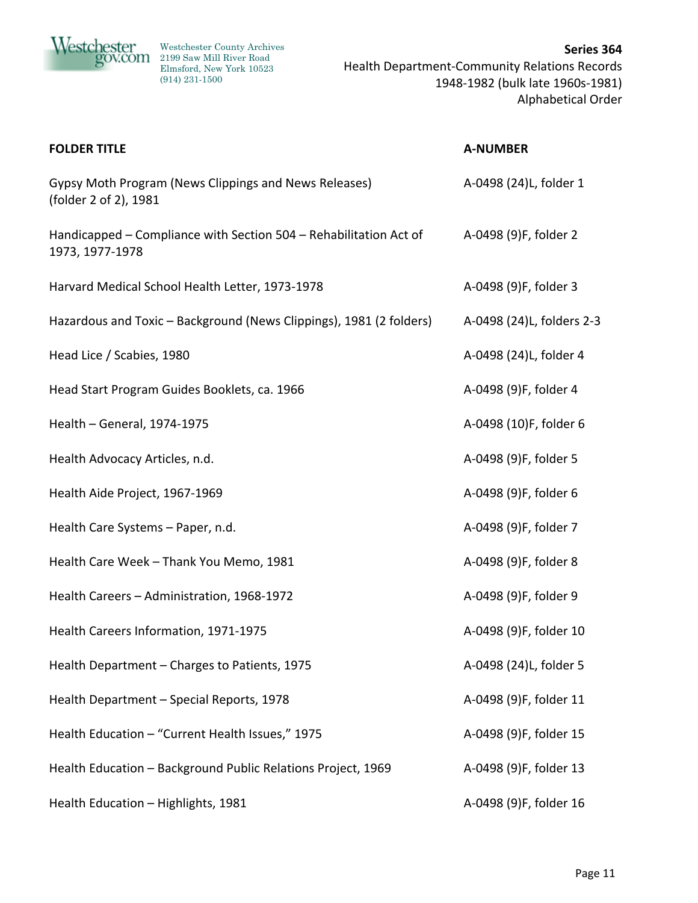

20V.COM 2199 Saw Mill River Road Elmsford, New York 10523 (914) 231-1500

| <b>FOLDER TITLE</b>                                                                  | <b>A-NUMBER</b>           |
|--------------------------------------------------------------------------------------|---------------------------|
| Gypsy Moth Program (News Clippings and News Releases)<br>(folder 2 of 2), 1981       | A-0498 (24)L, folder 1    |
| Handicapped – Compliance with Section 504 – Rehabilitation Act of<br>1973, 1977-1978 | A-0498 (9)F, folder 2     |
| Harvard Medical School Health Letter, 1973-1978                                      | A-0498 (9)F, folder 3     |
| Hazardous and Toxic - Background (News Clippings), 1981 (2 folders)                  | A-0498 (24)L, folders 2-3 |
| Head Lice / Scabies, 1980                                                            | A-0498 (24)L, folder 4    |
| Head Start Program Guides Booklets, ca. 1966                                         | A-0498 (9)F, folder 4     |
| Health - General, 1974-1975                                                          | A-0498 (10)F, folder 6    |
| Health Advocacy Articles, n.d.                                                       | A-0498 (9)F, folder 5     |
| Health Aide Project, 1967-1969                                                       | A-0498 (9)F, folder 6     |
| Health Care Systems - Paper, n.d.                                                    | A-0498 (9)F, folder 7     |
| Health Care Week - Thank You Memo, 1981                                              | A-0498 (9)F, folder 8     |
| Health Careers - Administration, 1968-1972                                           | A-0498 (9)F, folder 9     |
| Health Careers Information, 1971-1975                                                | A-0498 (9)F, folder 10    |
| Health Department - Charges to Patients, 1975                                        | A-0498 (24)L, folder 5    |
| Health Department - Special Reports, 1978                                            | A-0498 (9)F, folder 11    |
| Health Education - "Current Health Issues," 1975                                     | A-0498 (9)F, folder 15    |
| Health Education - Background Public Relations Project, 1969                         | A-0498 (9)F, folder 13    |
| Health Education - Highlights, 1981                                                  | A-0498 (9)F, folder 16    |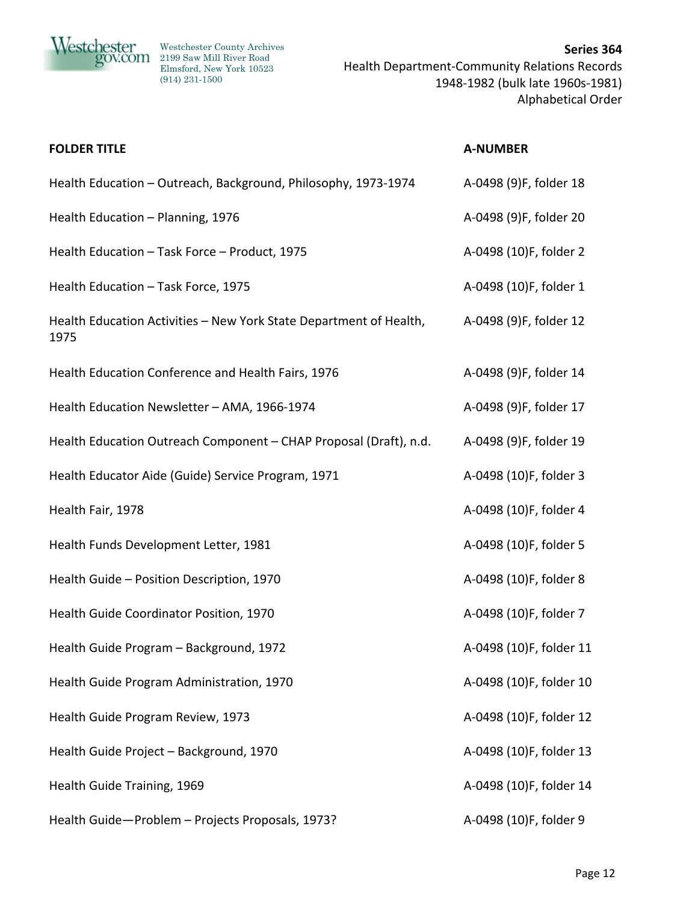

| <b>FOLDER TITLE</b>                                                        | <b>A-NUMBER</b>         |
|----------------------------------------------------------------------------|-------------------------|
| Health Education - Outreach, Background, Philosophy, 1973-1974             | A-0498 (9)F, folder 18  |
| Health Education - Planning, 1976                                          | A-0498 (9)F, folder 20  |
| Health Education - Task Force - Product, 1975                              | A-0498 (10)F, folder 2  |
| Health Education - Task Force, 1975                                        | A-0498 (10)F, folder 1  |
| Health Education Activities - New York State Department of Health,<br>1975 | A-0498 (9)F, folder 12  |
| Health Education Conference and Health Fairs, 1976                         | A-0498 (9)F, folder 14  |
| Health Education Newsletter - AMA, 1966-1974                               | A-0498 (9)F, folder 17  |
| Health Education Outreach Component - CHAP Proposal (Draft), n.d.          | A-0498 (9)F, folder 19  |
| Health Educator Aide (Guide) Service Program, 1971                         | A-0498 (10)F, folder 3  |
| Health Fair, 1978                                                          | A-0498 (10)F, folder 4  |
| Health Funds Development Letter, 1981                                      | A-0498 (10)F, folder 5  |
| Health Guide - Position Description, 1970                                  | A-0498 (10)F, folder 8  |
| Health Guide Coordinator Position, 1970                                    | A-0498 (10)F, folder 7  |
| Health Guide Program - Background, 1972                                    | A-0498 (10)F, folder 11 |
| Health Guide Program Administration, 1970                                  | A-0498 (10)F, folder 10 |
| Health Guide Program Review, 1973                                          | A-0498 (10)F, folder 12 |
| Health Guide Project - Background, 1970                                    | A-0498 (10)F, folder 13 |
| Health Guide Training, 1969                                                | A-0498 (10)F, folder 14 |
| Health Guide-Problem - Projects Proposals, 1973?                           | A-0498 (10)F, folder 9  |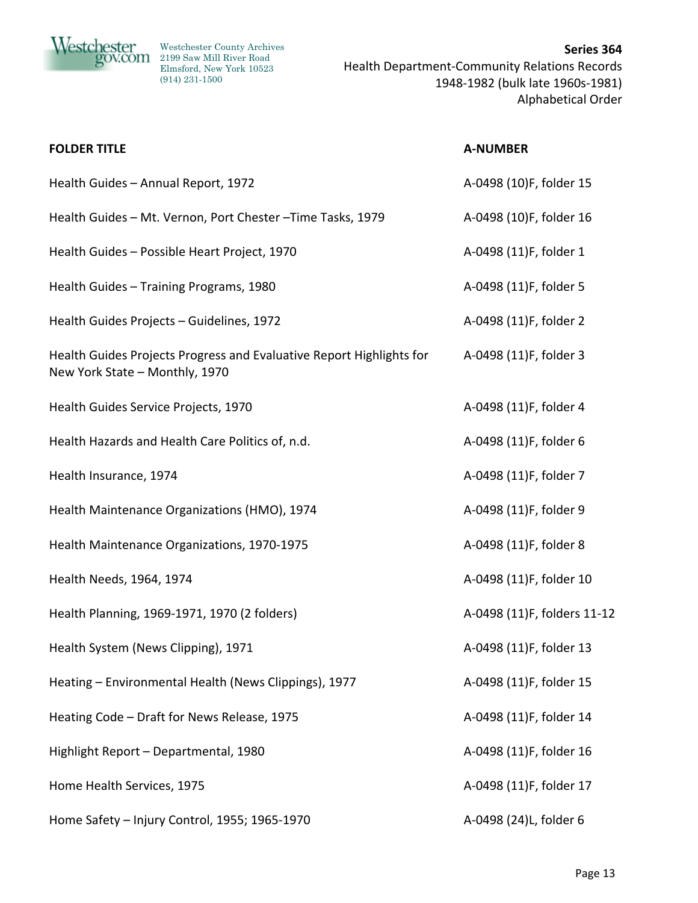

| <b>FOLDER TITLE</b>                                                                                    | <b>A-NUMBER</b>             |
|--------------------------------------------------------------------------------------------------------|-----------------------------|
| Health Guides - Annual Report, 1972                                                                    | A-0498 (10)F, folder 15     |
| Health Guides - Mt. Vernon, Port Chester - Time Tasks, 1979                                            | A-0498 (10)F, folder 16     |
| Health Guides - Possible Heart Project, 1970                                                           | A-0498 (11)F, folder 1      |
| Health Guides - Training Programs, 1980                                                                | A-0498 (11)F, folder 5      |
| Health Guides Projects - Guidelines, 1972                                                              | A-0498 (11)F, folder 2      |
| Health Guides Projects Progress and Evaluative Report Highlights for<br>New York State - Monthly, 1970 | A-0498 (11)F, folder 3      |
| Health Guides Service Projects, 1970                                                                   | A-0498 (11)F, folder 4      |
| Health Hazards and Health Care Politics of, n.d.                                                       | A-0498 (11)F, folder 6      |
| Health Insurance, 1974                                                                                 | A-0498 (11)F, folder 7      |
| Health Maintenance Organizations (HMO), 1974                                                           | A-0498 (11)F, folder 9      |
| Health Maintenance Organizations, 1970-1975                                                            | A-0498 (11)F, folder 8      |
| Health Needs, 1964, 1974                                                                               | A-0498 (11)F, folder 10     |
| Health Planning, 1969-1971, 1970 (2 folders)                                                           | A-0498 (11)F, folders 11-12 |
| Health System (News Clipping), 1971                                                                    | A-0498 (11)F, folder 13     |
| Heating - Environmental Health (News Clippings), 1977                                                  | A-0498 (11)F, folder 15     |
| Heating Code - Draft for News Release, 1975                                                            | A-0498 (11)F, folder 14     |
| Highlight Report - Departmental, 1980                                                                  | A-0498 (11)F, folder 16     |
| Home Health Services, 1975                                                                             | A-0498 (11)F, folder 17     |
| Home Safety - Injury Control, 1955; 1965-1970                                                          | A-0498 (24)L, folder 6      |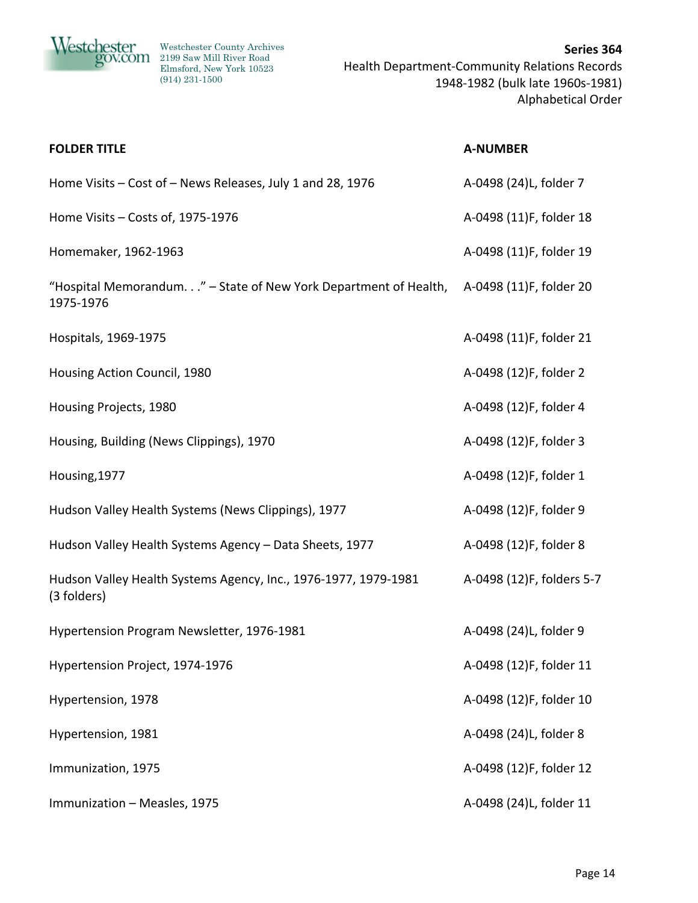

| <b>FOLDER TITLE</b>                                                            | <b>A-NUMBER</b>           |
|--------------------------------------------------------------------------------|---------------------------|
| Home Visits - Cost of - News Releases, July 1 and 28, 1976                     | A-0498 (24)L, folder 7    |
| Home Visits - Costs of, 1975-1976                                              | A-0498 (11)F, folder 18   |
| Homemaker, 1962-1963                                                           | A-0498 (11)F, folder 19   |
| "Hospital Memorandum" - State of New York Department of Health,<br>1975-1976   | A-0498 (11)F, folder 20   |
| Hospitals, 1969-1975                                                           | A-0498 (11)F, folder 21   |
| Housing Action Council, 1980                                                   | A-0498 (12)F, folder 2    |
| Housing Projects, 1980                                                         | A-0498 (12)F, folder 4    |
| Housing, Building (News Clippings), 1970                                       | A-0498 (12)F, folder 3    |
| Housing, 1977                                                                  | A-0498 (12)F, folder 1    |
| Hudson Valley Health Systems (News Clippings), 1977                            | A-0498 (12)F, folder 9    |
| Hudson Valley Health Systems Agency - Data Sheets, 1977                        | A-0498 (12)F, folder 8    |
| Hudson Valley Health Systems Agency, Inc., 1976-1977, 1979-1981<br>(3 folders) | A-0498 (12)F, folders 5-7 |
| Hypertension Program Newsletter, 1976-1981                                     | A-0498 (24)L, folder 9    |
| Hypertension Project, 1974-1976                                                | A-0498 (12)F, folder 11   |
| Hypertension, 1978                                                             | A-0498 (12)F, folder 10   |
| Hypertension, 1981                                                             | A-0498 (24)L, folder 8    |
| Immunization, 1975                                                             | A-0498 (12)F, folder 12   |
| Immunization - Measles, 1975                                                   | A-0498 (24)L, folder 11   |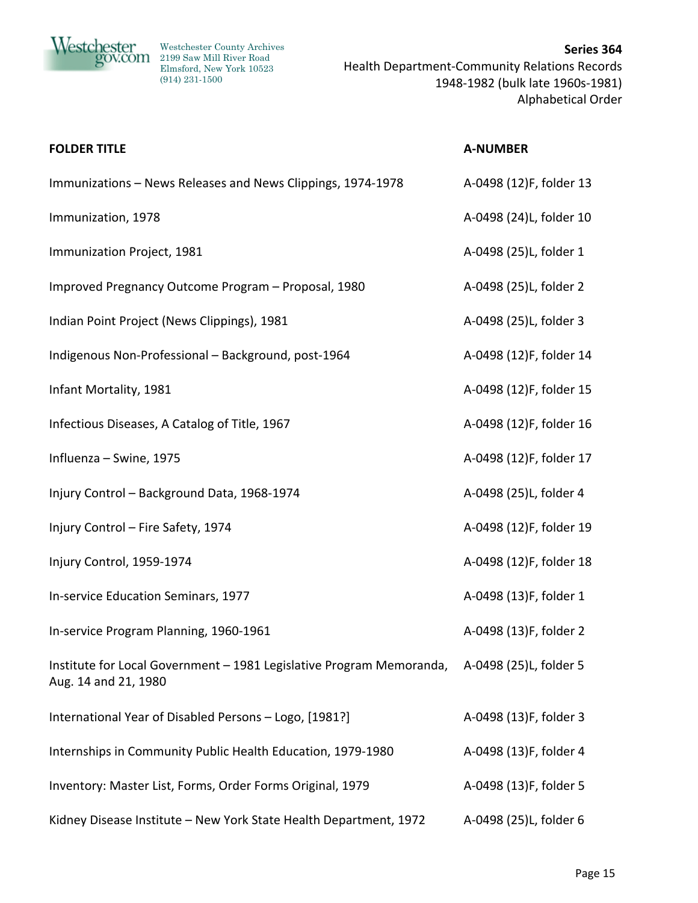

20V.COM 2199 Saw Mill River Road Elmsford, New York 10523 (914) 231-1500

| <b>FOLDER TITLE</b>                                                                          | <b>A-NUMBER</b>         |
|----------------------------------------------------------------------------------------------|-------------------------|
| Immunizations - News Releases and News Clippings, 1974-1978                                  | A-0498 (12)F, folder 13 |
| Immunization, 1978                                                                           | A-0498 (24)L, folder 10 |
| Immunization Project, 1981                                                                   | A-0498 (25)L, folder 1  |
| Improved Pregnancy Outcome Program - Proposal, 1980                                          | A-0498 (25)L, folder 2  |
| Indian Point Project (News Clippings), 1981                                                  | A-0498 (25)L, folder 3  |
| Indigenous Non-Professional - Background, post-1964                                          | A-0498 (12)F, folder 14 |
| Infant Mortality, 1981                                                                       | A-0498 (12)F, folder 15 |
| Infectious Diseases, A Catalog of Title, 1967                                                | A-0498 (12)F, folder 16 |
| Influenza - Swine, 1975                                                                      | A-0498 (12)F, folder 17 |
| Injury Control - Background Data, 1968-1974                                                  | A-0498 (25)L, folder 4  |
| Injury Control - Fire Safety, 1974                                                           | A-0498 (12)F, folder 19 |
| Injury Control, 1959-1974                                                                    | A-0498 (12)F, folder 18 |
| In-service Education Seminars, 1977                                                          | A-0498 (13)F, folder 1  |
| In-service Program Planning, 1960-1961                                                       | A-0498 (13)F, folder 2  |
| Institute for Local Government - 1981 Legislative Program Memoranda,<br>Aug. 14 and 21, 1980 | A-0498 (25)L, folder 5  |
| International Year of Disabled Persons - Logo, [1981?]                                       | A-0498 (13)F, folder 3  |
| Internships in Community Public Health Education, 1979-1980                                  | A-0498 (13)F, folder 4  |
| Inventory: Master List, Forms, Order Forms Original, 1979                                    | A-0498 (13)F, folder 5  |
| Kidney Disease Institute - New York State Health Department, 1972                            | A-0498 (25)L, folder 6  |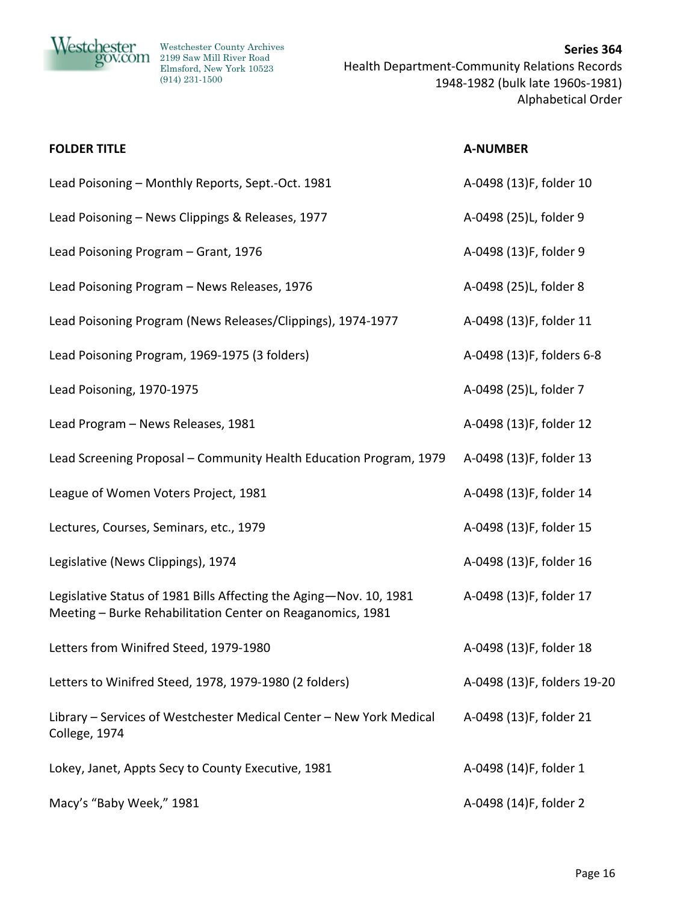

| <b>FOLDER TITLE</b>                                                                                                              | <b>A-NUMBER</b>             |
|----------------------------------------------------------------------------------------------------------------------------------|-----------------------------|
| Lead Poisoning - Monthly Reports, Sept.-Oct. 1981                                                                                | A-0498 (13)F, folder 10     |
| Lead Poisoning - News Clippings & Releases, 1977                                                                                 | A-0498 (25)L, folder 9      |
| Lead Poisoning Program - Grant, 1976                                                                                             | A-0498 (13)F, folder 9      |
| Lead Poisoning Program - News Releases, 1976                                                                                     | A-0498 (25)L, folder 8      |
| Lead Poisoning Program (News Releases/Clippings), 1974-1977                                                                      | A-0498 (13)F, folder 11     |
| Lead Poisoning Program, 1969-1975 (3 folders)                                                                                    | A-0498 (13)F, folders 6-8   |
| Lead Poisoning, 1970-1975                                                                                                        | A-0498 (25)L, folder 7      |
| Lead Program - News Releases, 1981                                                                                               | A-0498 (13)F, folder 12     |
| Lead Screening Proposal - Community Health Education Program, 1979                                                               | A-0498 (13)F, folder 13     |
| League of Women Voters Project, 1981                                                                                             | A-0498 (13)F, folder 14     |
| Lectures, Courses, Seminars, etc., 1979                                                                                          | A-0498 (13)F, folder 15     |
| Legislative (News Clippings), 1974                                                                                               | A-0498 (13)F, folder 16     |
| Legislative Status of 1981 Bills Affecting the Aging-Nov. 10, 1981<br>Meeting - Burke Rehabilitation Center on Reaganomics, 1981 | A-0498 (13)F, folder 17     |
| Letters from Winifred Steed, 1979-1980                                                                                           | A-0498 (13)F, folder 18     |
| Letters to Winifred Steed, 1978, 1979-1980 (2 folders)                                                                           | A-0498 (13)F, folders 19-20 |
| Library - Services of Westchester Medical Center - New York Medical<br>College, 1974                                             | A-0498 (13)F, folder 21     |
| Lokey, Janet, Appts Secy to County Executive, 1981                                                                               | A-0498 (14)F, folder 1      |
| Macy's "Baby Week," 1981                                                                                                         | A-0498 (14)F, folder 2      |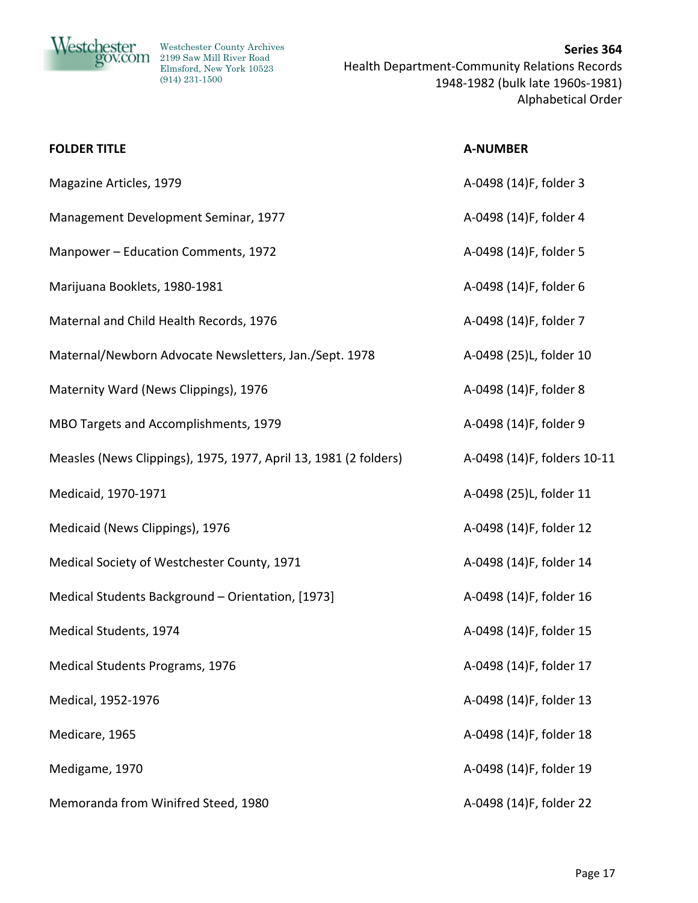

| <b>FOLDER TITLE</b>                                              | <b>A-NUMBER</b>             |
|------------------------------------------------------------------|-----------------------------|
| Magazine Articles, 1979                                          | A-0498 (14)F, folder 3      |
| Management Development Seminar, 1977                             | A-0498 (14)F, folder 4      |
| Manpower - Education Comments, 1972                              | A-0498 (14)F, folder 5      |
| Marijuana Booklets, 1980-1981                                    | A-0498 (14)F, folder 6      |
| Maternal and Child Health Records, 1976                          | A-0498 (14)F, folder 7      |
| Maternal/Newborn Advocate Newsletters, Jan./Sept. 1978           | A-0498 (25)L, folder 10     |
| Maternity Ward (News Clippings), 1976                            | A-0498 (14)F, folder 8      |
| MBO Targets and Accomplishments, 1979                            | A-0498 (14)F, folder 9      |
| Measles (News Clippings), 1975, 1977, April 13, 1981 (2 folders) | A-0498 (14)F, folders 10-11 |
| Medicaid, 1970-1971                                              | A-0498 (25)L, folder 11     |
| Medicaid (News Clippings), 1976                                  | A-0498 (14)F, folder 12     |
| Medical Society of Westchester County, 1971                      | A-0498 (14)F, folder 14     |
| Medical Students Background - Orientation, [1973]                | A-0498 (14)F, folder 16     |
| Medical Students, 1974                                           | A-0498 (14)F, folder 15     |
| <b>Medical Students Programs, 1976</b>                           | A-0498 (14)F, folder 17     |
| Medical, 1952-1976                                               | A-0498 (14)F, folder 13     |
| Medicare, 1965                                                   | A-0498 (14)F, folder 18     |
| Medigame, 1970                                                   | A-0498 (14)F, folder 19     |
| Memoranda from Winifred Steed, 1980                              | A-0498 (14)F, folder 22     |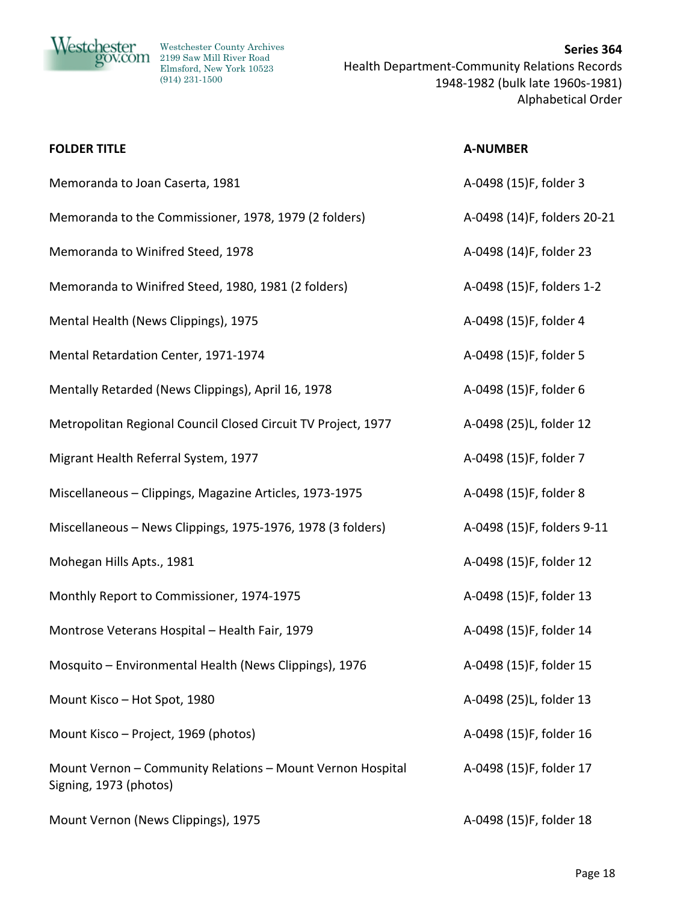

**Nestchester** Westchester County Archives 2199 Saw Mill River Road Elmsford, New York 10523 (914) 231-1500

**Series 364** Health Department‐Community Relations Records 1948‐1982 (bulk late 1960s‐1981) Alphabetical Order

## **FOLDER TITLE A‐NUMBER**

Memoranda to Joan Caserta, 1981 A–0498 (15)F, folder 3

- Memoranda to the Commissioner, 1978, 1979 (2 folders) A-0498 (14)F, folders 20-21
- Memoranda to Winifred Steed, 1978 A–0498 (14)F, folder 23

Memoranda to Winifred Steed, 1980, 1981 (2 folders) A-0498 (15)F, folders 1-2

Mental Health (News Clippings), 1975 A-0498 (15)F, folder 4

Mental Retardation Center, 1971-1974 **A A**-0498 (15)F, folder 5

Mentally Retarded (News Clippings), April 16, 1978 **A**-0498 (15)F, folder 6

Metropolitan Regional Council Closed Circuit TV Project, 1977 A-0498 (25)L, folder 12

Migrant Health Referral System, 1977 A–0498 (15)F, folder 7

Miscellaneous – Clippings, Magazine Articles, 1973-1975 A-0498 (15)F, folder 8

Miscellaneous – News Clippings, 1975‐1976, 1978 (3 folders) A‐0498 (15)F, folders 9‐11

Mohegan Hills Apts., 1981 A–0498 (15)F, folder 12

Monthly Report to Commissioner, 1974-1975 A-0498 (15)F, folder 13

Montrose Veterans Hospital – Health Fair, 1979 **A**-0498 (15)F, folder 14

Mosquito – Environmental Health (News Clippings), 1976 A-0498 (15)F, folder 15

Mount Kisco – Hot Spot, 1980 A–0498 (25)L, folder 13

Mount Kisco – Project, 1969 (photos) A-0498 (15)F, folder 16

Mount Vernon – Community Relations – Mount Vernon Hospital Signing, 1973 (photos)

Mount Vernon (News Clippings), 1975 A-0498 (15)F, folder 18

A‐0498 (15)F, folder 17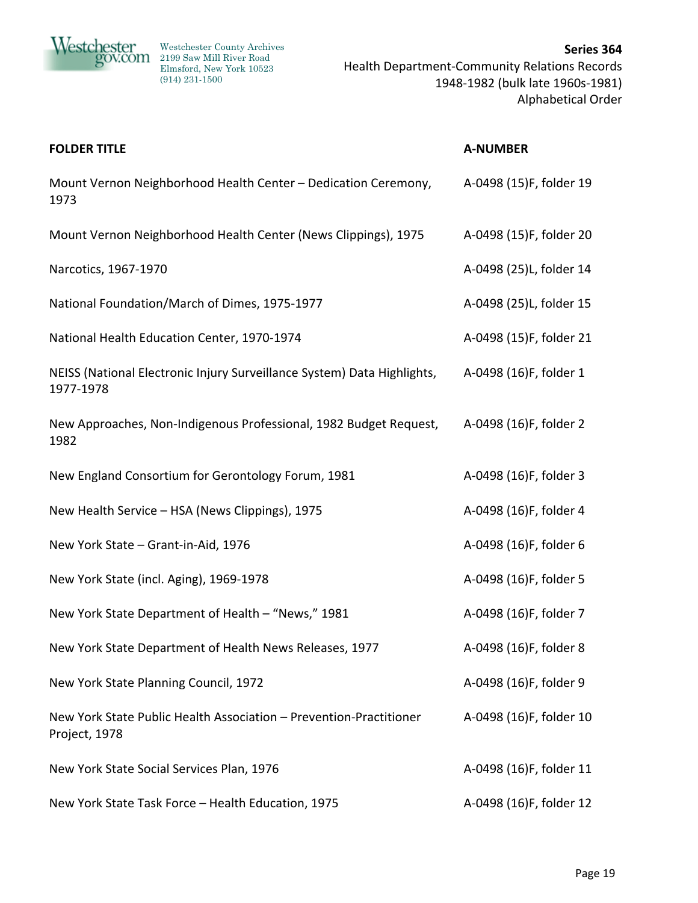

| <b>FOLDER TITLE</b>                                                                  | <b>A-NUMBER</b>         |
|--------------------------------------------------------------------------------------|-------------------------|
| Mount Vernon Neighborhood Health Center - Dedication Ceremony,<br>1973               | A-0498 (15)F, folder 19 |
| Mount Vernon Neighborhood Health Center (News Clippings), 1975                       | A-0498 (15)F, folder 20 |
| Narcotics, 1967-1970                                                                 | A-0498 (25)L, folder 14 |
| National Foundation/March of Dimes, 1975-1977                                        | A-0498 (25)L, folder 15 |
| National Health Education Center, 1970-1974                                          | A-0498 (15)F, folder 21 |
| NEISS (National Electronic Injury Surveillance System) Data Highlights,<br>1977-1978 | A-0498 (16)F, folder 1  |
| New Approaches, Non-Indigenous Professional, 1982 Budget Request,<br>1982            | A-0498 (16)F, folder 2  |
| New England Consortium for Gerontology Forum, 1981                                   | A-0498 (16)F, folder 3  |
| New Health Service - HSA (News Clippings), 1975                                      | A-0498 (16)F, folder 4  |
| New York State - Grant-in-Aid, 1976                                                  | A-0498 (16)F, folder 6  |
| New York State (incl. Aging), 1969-1978                                              | A-0498 (16)F, folder 5  |
| New York State Department of Health - "News," 1981                                   | A-0498 (16)F, folder 7  |
| New York State Department of Health News Releases, 1977                              | A-0498 (16)F, folder 8  |
| New York State Planning Council, 1972                                                | A-0498 (16)F, folder 9  |
| New York State Public Health Association - Prevention-Practitioner<br>Project, 1978  | A-0498 (16)F, folder 10 |
| New York State Social Services Plan, 1976                                            | A-0498 (16)F, folder 11 |
| New York State Task Force - Health Education, 1975                                   | A-0498 (16)F, folder 12 |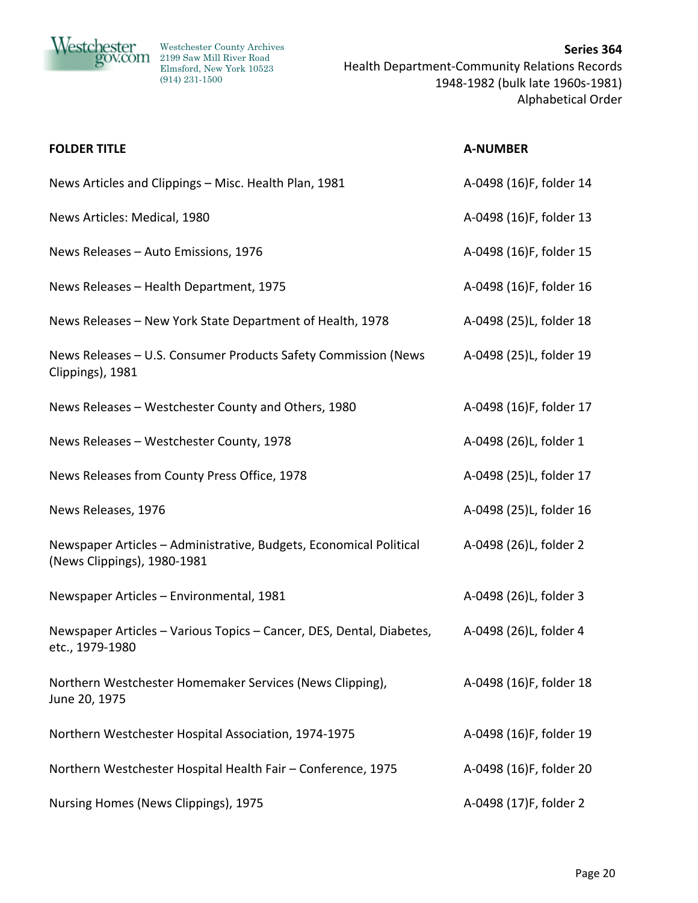

| <b>FOLDER TITLE</b>                                                                               | <b>A-NUMBER</b>         |
|---------------------------------------------------------------------------------------------------|-------------------------|
| News Articles and Clippings - Misc. Health Plan, 1981                                             | A-0498 (16)F, folder 14 |
| News Articles: Medical, 1980                                                                      | A-0498 (16)F, folder 13 |
| News Releases - Auto Emissions, 1976                                                              | A-0498 (16)F, folder 15 |
| News Releases - Health Department, 1975                                                           | A-0498 (16)F, folder 16 |
| News Releases - New York State Department of Health, 1978                                         | A-0498 (25)L, folder 18 |
| News Releases - U.S. Consumer Products Safety Commission (News<br>Clippings), 1981                | A-0498 (25)L, folder 19 |
| News Releases - Westchester County and Others, 1980                                               | A-0498 (16)F, folder 17 |
| News Releases - Westchester County, 1978                                                          | A-0498 (26)L, folder 1  |
| News Releases from County Press Office, 1978                                                      | A-0498 (25)L, folder 17 |
| News Releases, 1976                                                                               | A-0498 (25)L, folder 16 |
| Newspaper Articles - Administrative, Budgets, Economical Political<br>(News Clippings), 1980-1981 | A-0498 (26)L, folder 2  |
| Newspaper Articles - Environmental, 1981                                                          | A-0498 (26)L, folder 3  |
| Newspaper Articles - Various Topics - Cancer, DES, Dental, Diabetes,<br>etc., 1979-1980           | A-0498 (26)L, folder 4  |
| Northern Westchester Homemaker Services (News Clipping),<br>June 20, 1975                         | A-0498 (16)F, folder 18 |
| Northern Westchester Hospital Association, 1974-1975                                              | A-0498 (16)F, folder 19 |
| Northern Westchester Hospital Health Fair - Conference, 1975                                      | A-0498 (16)F, folder 20 |
| Nursing Homes (News Clippings), 1975                                                              | A-0498 (17)F, folder 2  |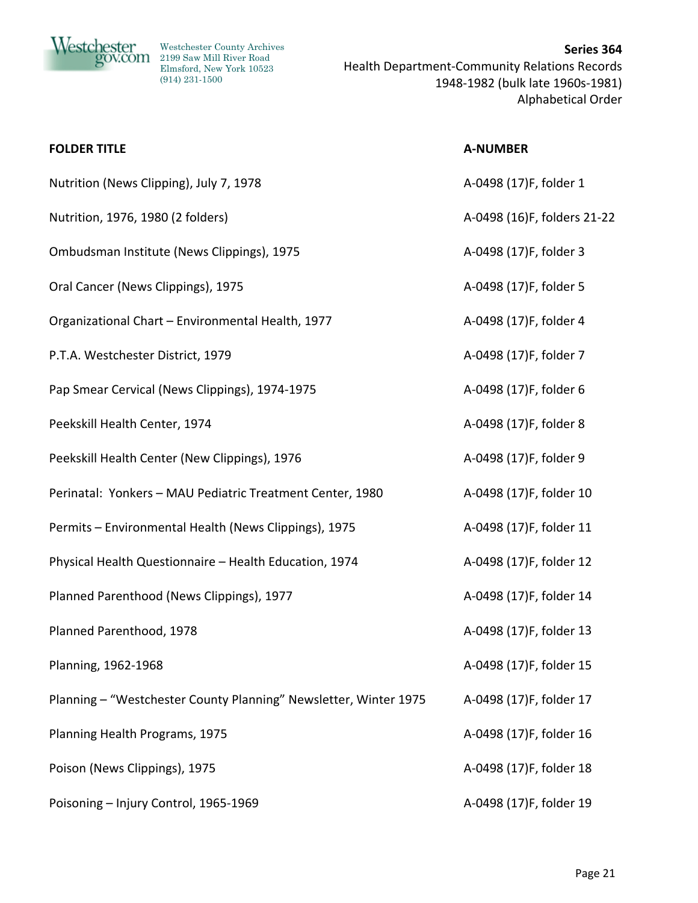

| <b>FOLDER TITLE</b>                                              | <b>A-NUMBER</b>             |
|------------------------------------------------------------------|-----------------------------|
| Nutrition (News Clipping), July 7, 1978                          | A-0498 (17)F, folder 1      |
| Nutrition, 1976, 1980 (2 folders)                                | A-0498 (16)F, folders 21-22 |
| Ombudsman Institute (News Clippings), 1975                       | A-0498 (17)F, folder 3      |
| Oral Cancer (News Clippings), 1975                               | A-0498 (17)F, folder 5      |
| Organizational Chart - Environmental Health, 1977                | A-0498 (17)F, folder 4      |
| P.T.A. Westchester District, 1979                                | A-0498 (17)F, folder 7      |
| Pap Smear Cervical (News Clippings), 1974-1975                   | A-0498 (17)F, folder 6      |
| Peekskill Health Center, 1974                                    | A-0498 (17)F, folder 8      |
| Peekskill Health Center (New Clippings), 1976                    | A-0498 (17)F, folder 9      |
| Perinatal: Yonkers - MAU Pediatric Treatment Center, 1980        | A-0498 (17)F, folder 10     |
| Permits - Environmental Health (News Clippings), 1975            | A-0498 (17)F, folder 11     |
| Physical Health Questionnaire - Health Education, 1974           | A-0498 (17)F, folder 12     |
| Planned Parenthood (News Clippings), 1977                        | A-0498 (17)F, folder 14     |
| Planned Parenthood, 1978                                         | A-0498 (17)F, folder 13     |
| Planning, 1962-1968                                              | A-0498 (17)F, folder 15     |
| Planning - "Westchester County Planning" Newsletter, Winter 1975 | A-0498 (17)F, folder 17     |
| Planning Health Programs, 1975                                   | A-0498 (17)F, folder 16     |
| Poison (News Clippings), 1975                                    | A-0498 (17)F, folder 18     |
| Poisoning - Injury Control, 1965-1969                            | A-0498 (17)F, folder 19     |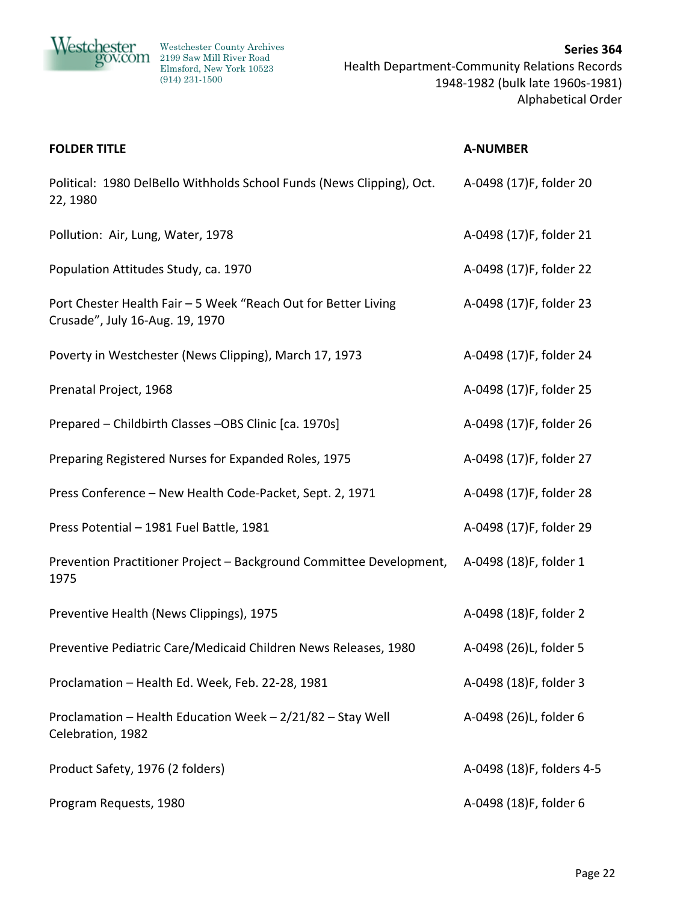

| <b>FOLDER TITLE</b>                                                                               | <b>A-NUMBER</b>           |
|---------------------------------------------------------------------------------------------------|---------------------------|
| Political: 1980 DelBello Withholds School Funds (News Clipping), Oct.<br>22, 1980                 | A-0498 (17)F, folder 20   |
| Pollution: Air, Lung, Water, 1978                                                                 | A-0498 (17)F, folder 21   |
| Population Attitudes Study, ca. 1970                                                              | A-0498 (17)F, folder 22   |
| Port Chester Health Fair - 5 Week "Reach Out for Better Living<br>Crusade", July 16-Aug. 19, 1970 | A-0498 (17)F, folder 23   |
| Poverty in Westchester (News Clipping), March 17, 1973                                            | A-0498 (17)F, folder 24   |
| Prenatal Project, 1968                                                                            | A-0498 (17)F, folder 25   |
| Prepared - Childbirth Classes - OBS Clinic [ca. 1970s]                                            | A-0498 (17)F, folder 26   |
| Preparing Registered Nurses for Expanded Roles, 1975                                              | A-0498 (17)F, folder 27   |
| Press Conference - New Health Code-Packet, Sept. 2, 1971                                          | A-0498 (17)F, folder 28   |
| Press Potential - 1981 Fuel Battle, 1981                                                          | A-0498 (17)F, folder 29   |
| Prevention Practitioner Project - Background Committee Development,<br>1975                       | A-0498 (18)F, folder 1    |
| Preventive Health (News Clippings), 1975                                                          | A-0498 (18)F, folder 2    |
| Preventive Pediatric Care/Medicaid Children News Releases, 1980                                   | A-0498 (26)L, folder 5    |
| Proclamation - Health Ed. Week, Feb. 22-28, 1981                                                  | A-0498 (18)F, folder 3    |
| Proclamation - Health Education Week - 2/21/82 - Stay Well<br>Celebration, 1982                   | A-0498 (26)L, folder 6    |
| Product Safety, 1976 (2 folders)                                                                  | A-0498 (18)F, folders 4-5 |
| Program Requests, 1980                                                                            | A-0498 (18)F, folder 6    |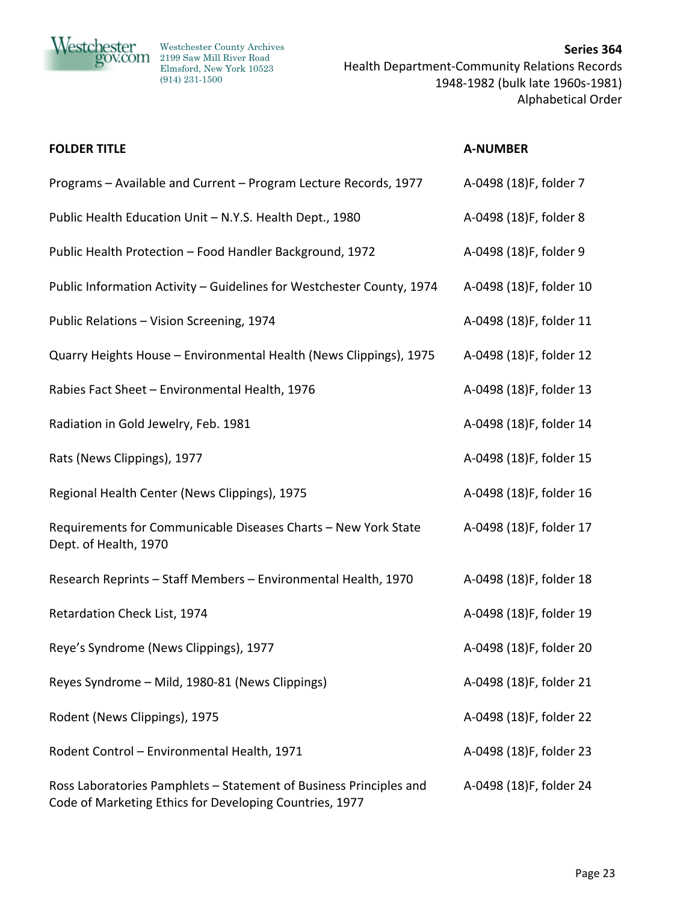

| <b>FOLDER TITLE</b>                                                                                                           | <b>A-NUMBER</b>         |
|-------------------------------------------------------------------------------------------------------------------------------|-------------------------|
| Programs - Available and Current - Program Lecture Records, 1977                                                              | A-0498 (18)F, folder 7  |
| Public Health Education Unit - N.Y.S. Health Dept., 1980                                                                      | A-0498 (18)F, folder 8  |
| Public Health Protection - Food Handler Background, 1972                                                                      | A-0498 (18)F, folder 9  |
| Public Information Activity - Guidelines for Westchester County, 1974                                                         | A-0498 (18)F, folder 10 |
| Public Relations - Vision Screening, 1974                                                                                     | A-0498 (18)F, folder 11 |
| Quarry Heights House - Environmental Health (News Clippings), 1975                                                            | A-0498 (18)F, folder 12 |
| Rabies Fact Sheet - Environmental Health, 1976                                                                                | A-0498 (18)F, folder 13 |
| Radiation in Gold Jewelry, Feb. 1981                                                                                          | A-0498 (18)F, folder 14 |
| Rats (News Clippings), 1977                                                                                                   | A-0498 (18)F, folder 15 |
| Regional Health Center (News Clippings), 1975                                                                                 | A-0498 (18)F, folder 16 |
| Requirements for Communicable Diseases Charts - New York State<br>Dept. of Health, 1970                                       | A-0498 (18)F, folder 17 |
| Research Reprints - Staff Members - Environmental Health, 1970                                                                | A-0498 (18)F, folder 18 |
| Retardation Check List, 1974                                                                                                  | A-0498 (18)F, folder 19 |
| Reye's Syndrome (News Clippings), 1977                                                                                        | A-0498 (18)F, folder 20 |
| Reyes Syndrome - Mild, 1980-81 (News Clippings)                                                                               | A-0498 (18)F, folder 21 |
| Rodent (News Clippings), 1975                                                                                                 | A-0498 (18)F, folder 22 |
| Rodent Control - Environmental Health, 1971                                                                                   | A-0498 (18)F, folder 23 |
| Ross Laboratories Pamphlets - Statement of Business Principles and<br>Code of Marketing Ethics for Developing Countries, 1977 | A-0498 (18)F, folder 24 |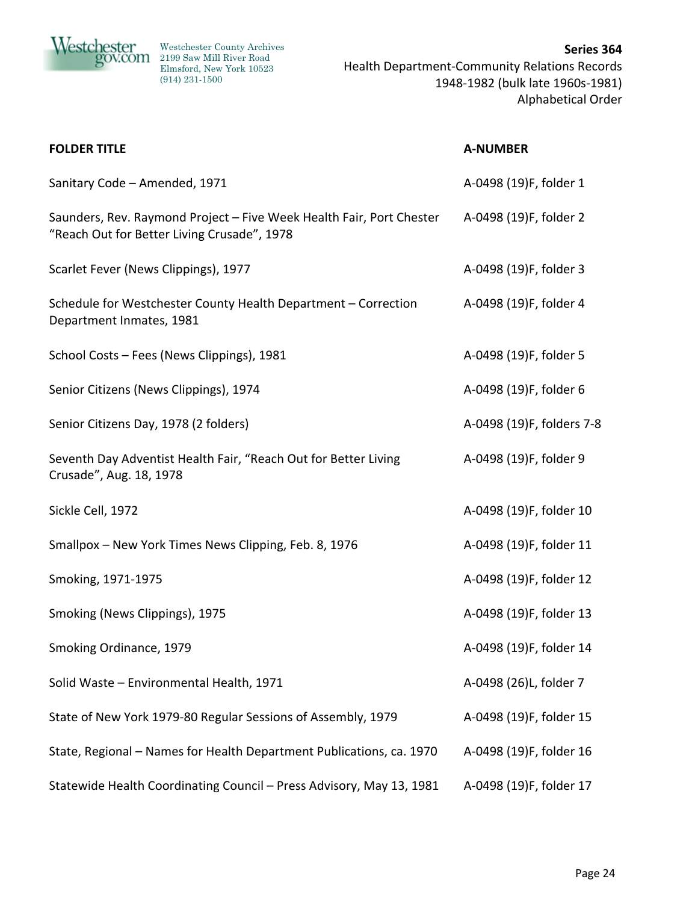

| <b>FOLDER TITLE</b>                                                                                                 | <b>A-NUMBER</b>           |
|---------------------------------------------------------------------------------------------------------------------|---------------------------|
| Sanitary Code - Amended, 1971                                                                                       | A-0498 (19)F, folder 1    |
| Saunders, Rev. Raymond Project - Five Week Health Fair, Port Chester<br>"Reach Out for Better Living Crusade", 1978 | A-0498 (19)F, folder 2    |
| Scarlet Fever (News Clippings), 1977                                                                                | A-0498 (19)F, folder 3    |
| Schedule for Westchester County Health Department - Correction<br>Department Inmates, 1981                          | A-0498 (19)F, folder 4    |
| School Costs - Fees (News Clippings), 1981                                                                          | A-0498 (19)F, folder 5    |
| Senior Citizens (News Clippings), 1974                                                                              | A-0498 (19)F, folder 6    |
| Senior Citizens Day, 1978 (2 folders)                                                                               | A-0498 (19)F, folders 7-8 |
| Seventh Day Adventist Health Fair, "Reach Out for Better Living<br>Crusade", Aug. 18, 1978                          | A-0498 (19)F, folder 9    |
| Sickle Cell, 1972                                                                                                   | A-0498 (19)F, folder 10   |
| Smallpox - New York Times News Clipping, Feb. 8, 1976                                                               | A-0498 (19)F, folder 11   |
| Smoking, 1971-1975                                                                                                  | A-0498 (19)F, folder 12   |
| Smoking (News Clippings), 1975                                                                                      | A-0498 (19)F, folder 13   |
| Smoking Ordinance, 1979                                                                                             | A-0498 (19)F, folder 14   |
| Solid Waste - Environmental Health, 1971                                                                            | A-0498 (26)L, folder 7    |
| State of New York 1979-80 Regular Sessions of Assembly, 1979                                                        | A-0498 (19)F, folder 15   |
| State, Regional - Names for Health Department Publications, ca. 1970                                                | A-0498 (19)F, folder 16   |
| Statewide Health Coordinating Council - Press Advisory, May 13, 1981                                                | A-0498 (19)F, folder 17   |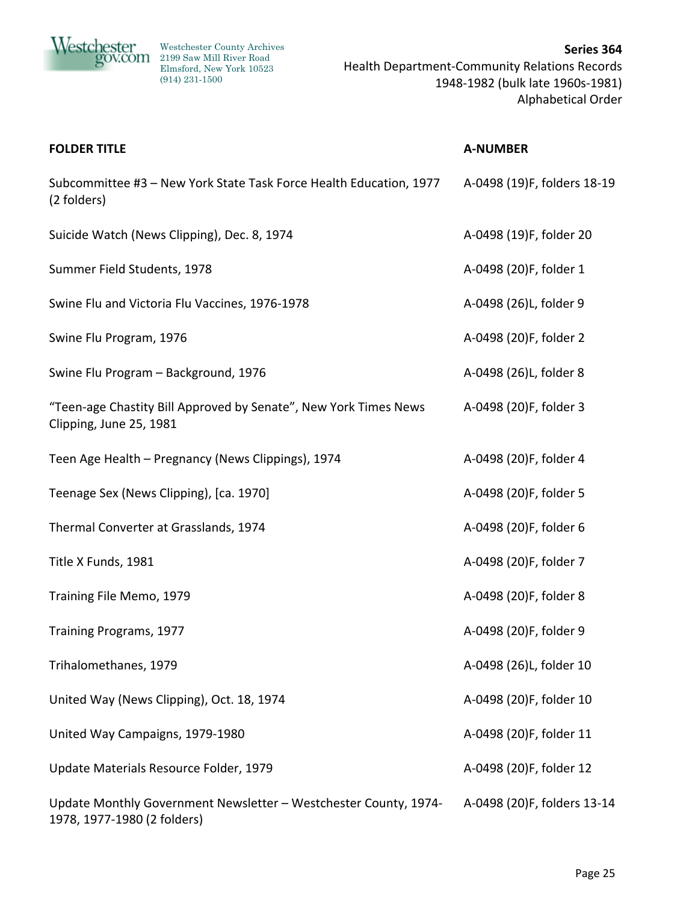

| <b>FOLDER TITLE</b>                                                                             | <b>A-NUMBER</b>             |
|-------------------------------------------------------------------------------------------------|-----------------------------|
| Subcommittee #3 - New York State Task Force Health Education, 1977<br>(2 folders)               | A-0498 (19)F, folders 18-19 |
| Suicide Watch (News Clipping), Dec. 8, 1974                                                     | A-0498 (19)F, folder 20     |
| Summer Field Students, 1978                                                                     | A-0498 (20)F, folder 1      |
| Swine Flu and Victoria Flu Vaccines, 1976-1978                                                  | A-0498 (26)L, folder 9      |
| Swine Flu Program, 1976                                                                         | A-0498 (20)F, folder 2      |
| Swine Flu Program - Background, 1976                                                            | A-0498 (26)L, folder 8      |
| "Teen-age Chastity Bill Approved by Senate", New York Times News<br>Clipping, June 25, 1981     | A-0498 (20)F, folder 3      |
| Teen Age Health - Pregnancy (News Clippings), 1974                                              | A-0498 (20)F, folder 4      |
| Teenage Sex (News Clipping), [ca. 1970]                                                         | A-0498 (20)F, folder 5      |
| Thermal Converter at Grasslands, 1974                                                           | A-0498 (20)F, folder 6      |
| Title X Funds, 1981                                                                             | A-0498 (20)F, folder 7      |
| Training File Memo, 1979                                                                        | A-0498 (20)F, folder 8      |
| Training Programs, 1977                                                                         | A-0498 (20)F, folder 9      |
| Trihalomethanes, 1979                                                                           | A-0498 (26)L, folder 10     |
| United Way (News Clipping), Oct. 18, 1974                                                       | A-0498 (20)F, folder 10     |
| United Way Campaigns, 1979-1980                                                                 | A-0498 (20)F, folder 11     |
| Update Materials Resource Folder, 1979                                                          | A-0498 (20)F, folder 12     |
| Update Monthly Government Newsletter - Westchester County, 1974-<br>1978, 1977-1980 (2 folders) | A-0498 (20)F, folders 13-14 |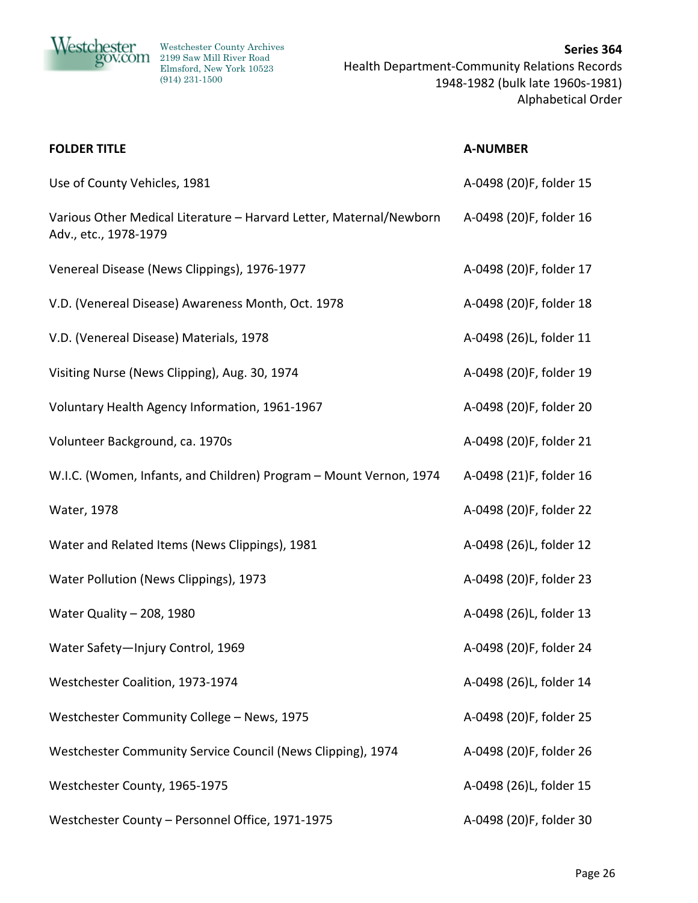

| <b>FOLDER TITLE</b>                                                                          | <b>A-NUMBER</b>         |
|----------------------------------------------------------------------------------------------|-------------------------|
| Use of County Vehicles, 1981                                                                 | A-0498 (20)F, folder 15 |
| Various Other Medical Literature - Harvard Letter, Maternal/Newborn<br>Adv., etc., 1978-1979 | A-0498 (20)F, folder 16 |
| Venereal Disease (News Clippings), 1976-1977                                                 | A-0498 (20)F, folder 17 |
| V.D. (Venereal Disease) Awareness Month, Oct. 1978                                           | A-0498 (20)F, folder 18 |
| V.D. (Venereal Disease) Materials, 1978                                                      | A-0498 (26)L, folder 11 |
| Visiting Nurse (News Clipping), Aug. 30, 1974                                                | A-0498 (20)F, folder 19 |
| Voluntary Health Agency Information, 1961-1967                                               | A-0498 (20)F, folder 20 |
| Volunteer Background, ca. 1970s                                                              | A-0498 (20)F, folder 21 |
| W.I.C. (Women, Infants, and Children) Program - Mount Vernon, 1974                           | A-0498 (21)F, folder 16 |
| Water, 1978                                                                                  | A-0498 (20)F, folder 22 |
| Water and Related Items (News Clippings), 1981                                               | A-0498 (26)L, folder 12 |
| Water Pollution (News Clippings), 1973                                                       | A-0498 (20)F, folder 23 |
| Water Quality - 208, 1980                                                                    | A-0498 (26)L, folder 13 |
| Water Safety-Injury Control, 1969                                                            | A-0498 (20)F, folder 24 |
| Westchester Coalition, 1973-1974                                                             | A-0498 (26)L, folder 14 |
| Westchester Community College - News, 1975                                                   | A-0498 (20)F, folder 25 |
| Westchester Community Service Council (News Clipping), 1974                                  | A-0498 (20)F, folder 26 |
| Westchester County, 1965-1975                                                                | A-0498 (26)L, folder 15 |
| Westchester County - Personnel Office, 1971-1975                                             | A-0498 (20)F, folder 30 |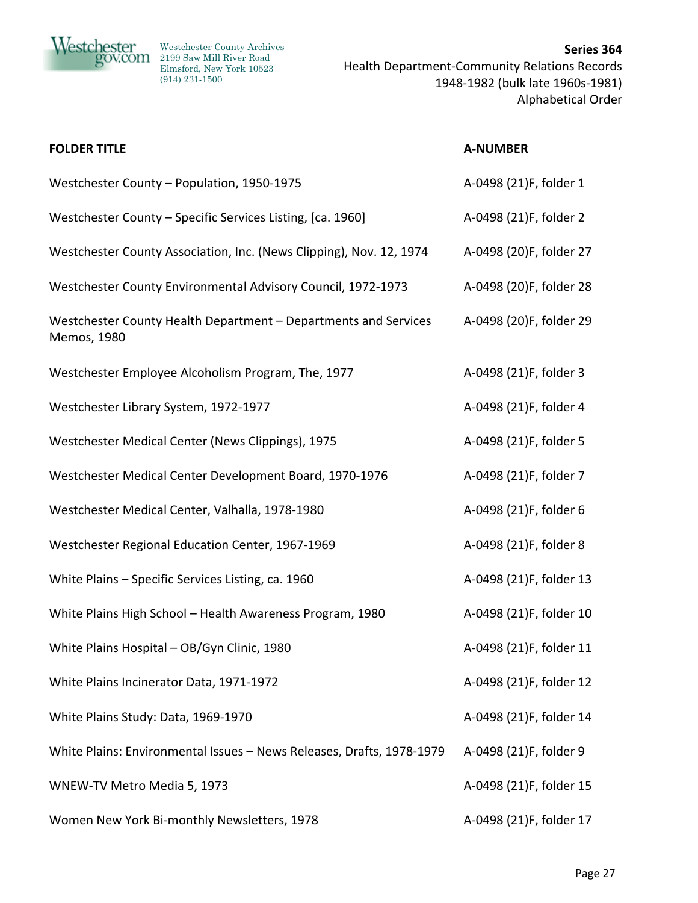

| <b>FOLDER TITLE</b>                                                            | <b>A-NUMBER</b>         |
|--------------------------------------------------------------------------------|-------------------------|
| Westchester County - Population, 1950-1975                                     | A-0498 (21)F, folder 1  |
| Westchester County - Specific Services Listing, [ca. 1960]                     | A-0498 (21)F, folder 2  |
| Westchester County Association, Inc. (News Clipping), Nov. 12, 1974            | A-0498 (20)F, folder 27 |
| Westchester County Environmental Advisory Council, 1972-1973                   | A-0498 (20)F, folder 28 |
| Westchester County Health Department - Departments and Services<br>Memos, 1980 | A-0498 (20)F, folder 29 |
| Westchester Employee Alcoholism Program, The, 1977                             | A-0498 (21)F, folder 3  |
| Westchester Library System, 1972-1977                                          | A-0498 (21)F, folder 4  |
| Westchester Medical Center (News Clippings), 1975                              | A-0498 (21)F, folder 5  |
| Westchester Medical Center Development Board, 1970-1976                        | A-0498 (21)F, folder 7  |
| Westchester Medical Center, Valhalla, 1978-1980                                | A-0498 (21)F, folder 6  |
| Westchester Regional Education Center, 1967-1969                               | A-0498 (21)F, folder 8  |
| White Plains - Specific Services Listing, ca. 1960                             | A-0498 (21)F, folder 13 |
| White Plains High School - Health Awareness Program, 1980                      | A-0498 (21)F, folder 10 |
| White Plains Hospital - OB/Gyn Clinic, 1980                                    | A-0498 (21)F, folder 11 |
| White Plains Incinerator Data, 1971-1972                                       | A-0498 (21)F, folder 12 |
| White Plains Study: Data, 1969-1970                                            | A-0498 (21)F, folder 14 |
| White Plains: Environmental Issues - News Releases, Drafts, 1978-1979          | A-0498 (21)F, folder 9  |
| WNEW-TV Metro Media 5, 1973                                                    | A-0498 (21)F, folder 15 |
| Women New York Bi-monthly Newsletters, 1978                                    | A-0498 (21)F, folder 17 |